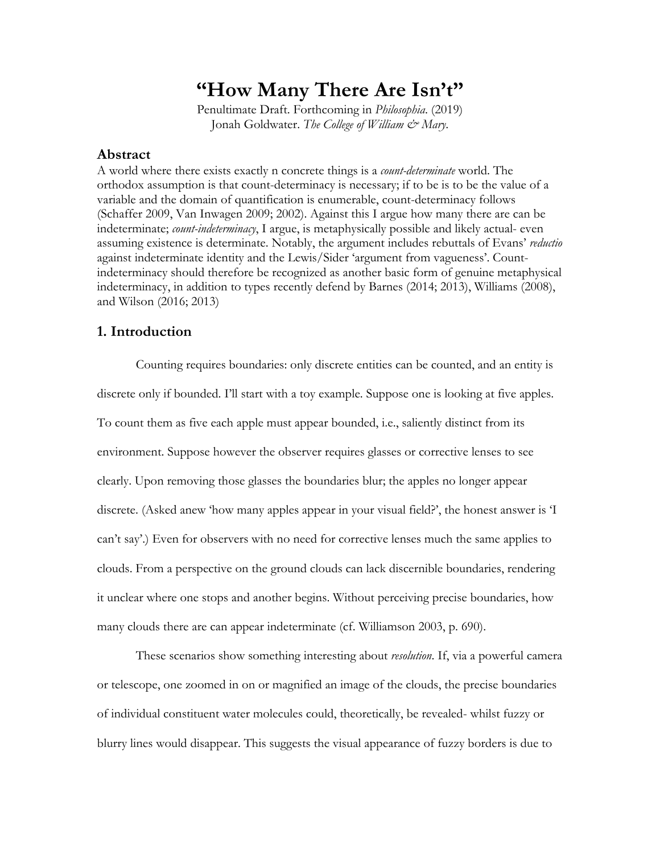# **"How Many There Are Isn't"**

Penultimate Draft. Forthcoming in *Philosophia*. (2019) Jonah Goldwater. The College of William & Mary.

## **Abstract**

A world where there exists exactly n concrete things is a *count-determinate* world. The orthodox assumption is that count-determinacy is necessary; if to be is to be the value of a variable and the domain of quantification is enumerable, count-determinacy follows (Schaffer 2009, Van Inwagen 2009; 2002). Against this I argue how many there are can be indeterminate; *count-indeterminacy*, I argue, is metaphysically possible and likely actual- even assuming existence is determinate. Notably, the argument includes rebuttals of Evans' *reductio* against indeterminate identity and the Lewis/Sider 'argument from vagueness'. Countindeterminacy should therefore be recognized as another basic form of genuine metaphysical indeterminacy, in addition to types recently defend by Barnes (2014; 2013), Williams (2008), and Wilson (2016; 2013)

# **1. Introduction**

Counting requires boundaries: only discrete entities can be counted, and an entity is discrete only if bounded. I'll start with a toy example. Suppose one is looking at five apples. To count them as five each apple must appear bounded, i.e., saliently distinct from its environment. Suppose however the observer requires glasses or corrective lenses to see clearly. Upon removing those glasses the boundaries blur; the apples no longer appear discrete. (Asked anew 'how many apples appear in your visual field?', the honest answer is 'I can't say'.) Even for observers with no need for corrective lenses much the same applies to clouds. From a perspective on the ground clouds can lack discernible boundaries, rendering it unclear where one stops and another begins. Without perceiving precise boundaries, how many clouds there are can appear indeterminate (cf. Williamson 2003, p. 690).

These scenarios show something interesting about *resolution*. If, via a powerful camera or telescope, one zoomed in on or magnified an image of the clouds, the precise boundaries of individual constituent water molecules could, theoretically, be revealed- whilst fuzzy or blurry lines would disappear. This suggests the visual appearance of fuzzy borders is due to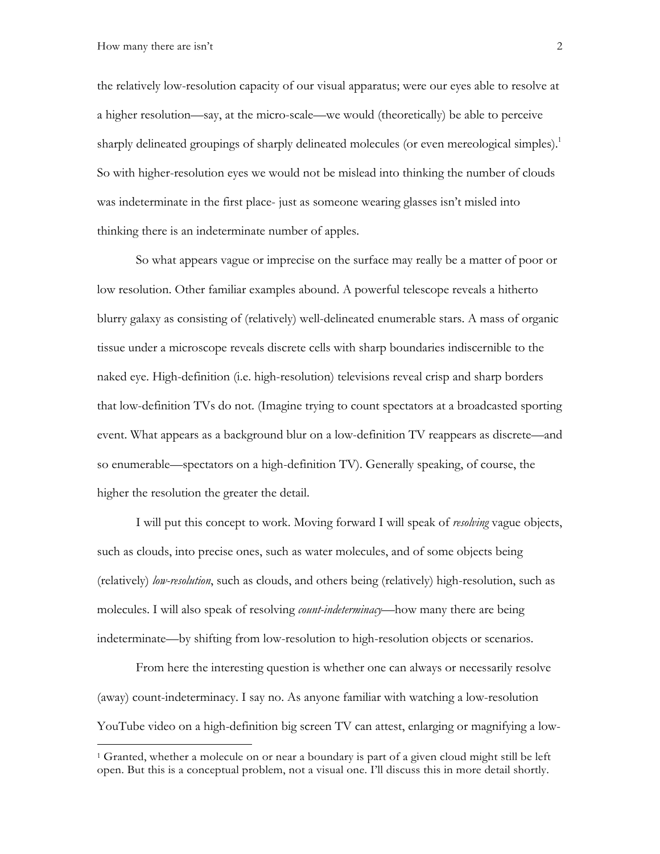the relatively low-resolution capacity of our visual apparatus; were our eyes able to resolve at a higher resolution—say, at the micro-scale—we would (theoretically) be able to perceive sharply delineated groupings of sharply delineated molecules (or even mereological simples).<sup>1</sup> So with higher-resolution eyes we would not be mislead into thinking the number of clouds was indeterminate in the first place- just as someone wearing glasses isn't misled into thinking there is an indeterminate number of apples.

So what appears vague or imprecise on the surface may really be a matter of poor or low resolution. Other familiar examples abound. A powerful telescope reveals a hitherto blurry galaxy as consisting of (relatively) well-delineated enumerable stars. A mass of organic tissue under a microscope reveals discrete cells with sharp boundaries indiscernible to the naked eye. High-definition (i.e. high-resolution) televisions reveal crisp and sharp borders that low-definition TVs do not. (Imagine trying to count spectators at a broadcasted sporting event. What appears as a background blur on a low-definition TV reappears as discrete—and so enumerable—spectators on a high-definition TV). Generally speaking, of course, the higher the resolution the greater the detail.

I will put this concept to work. Moving forward I will speak of *resolving* vague objects, such as clouds, into precise ones, such as water molecules, and of some objects being (relatively) *low-resolution*, such as clouds, and others being (relatively) high-resolution, such as molecules. I will also speak of resolving *count-indeterminacy*—how many there are being indeterminate—by shifting from low-resolution to high-resolution objects or scenarios.

From here the interesting question is whether one can always or necessarily resolve (away) count-indeterminacy. I say no. As anyone familiar with watching a low-resolution YouTube video on a high-definition big screen TV can attest, enlarging or magnifying a low-

<sup>1</sup> Granted, whether a molecule on or near a boundary is part of a given cloud might still be left open. But this is a conceptual problem, not a visual one. I'll discuss this in more detail shortly.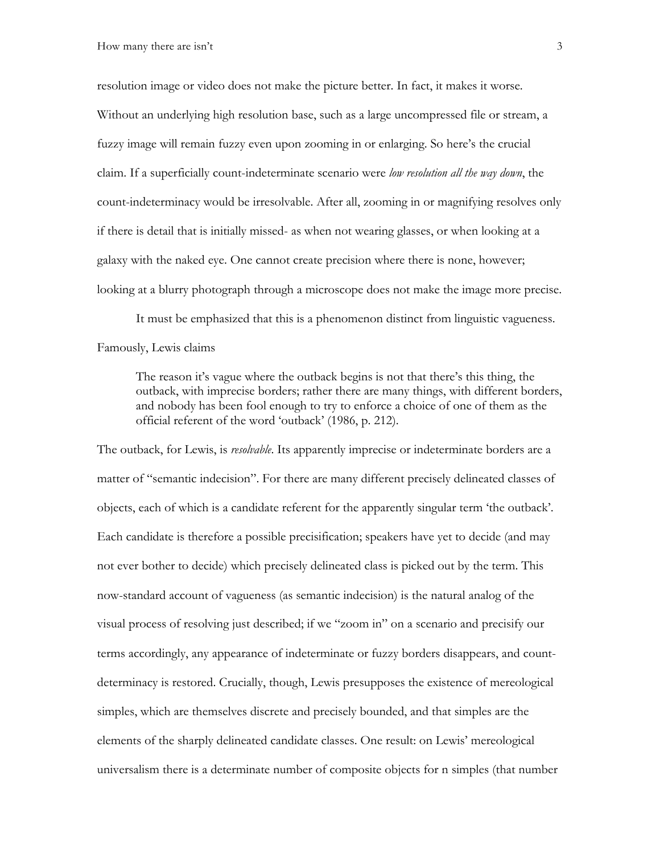resolution image or video does not make the picture better. In fact, it makes it worse. Without an underlying high resolution base, such as a large uncompressed file or stream, a fuzzy image will remain fuzzy even upon zooming in or enlarging. So here's the crucial claim. If a superficially count-indeterminate scenario were *low resolution all the way down*, the count-indeterminacy would be irresolvable. After all, zooming in or magnifying resolves only if there is detail that is initially missed- as when not wearing glasses, or when looking at a galaxy with the naked eye. One cannot create precision where there is none, however; looking at a blurry photograph through a microscope does not make the image more precise.

It must be emphasized that this is a phenomenon distinct from linguistic vagueness.

#### Famously, Lewis claims

The reason it's vague where the outback begins is not that there's this thing, the outback, with imprecise borders; rather there are many things, with different borders, and nobody has been fool enough to try to enforce a choice of one of them as the official referent of the word 'outback' (1986, p. 212).

The outback, for Lewis, is *resolvable*. Its apparently imprecise or indeterminate borders are a matter of "semantic indecision". For there are many different precisely delineated classes of objects, each of which is a candidate referent for the apparently singular term 'the outback'. Each candidate is therefore a possible precisification; speakers have yet to decide (and may not ever bother to decide) which precisely delineated class is picked out by the term. This now-standard account of vagueness (as semantic indecision) is the natural analog of the visual process of resolving just described; if we "zoom in" on a scenario and precisify our terms accordingly, any appearance of indeterminate or fuzzy borders disappears, and countdeterminacy is restored. Crucially, though, Lewis presupposes the existence of mereological simples, which are themselves discrete and precisely bounded, and that simples are the elements of the sharply delineated candidate classes. One result: on Lewis' mereological universalism there is a determinate number of composite objects for n simples (that number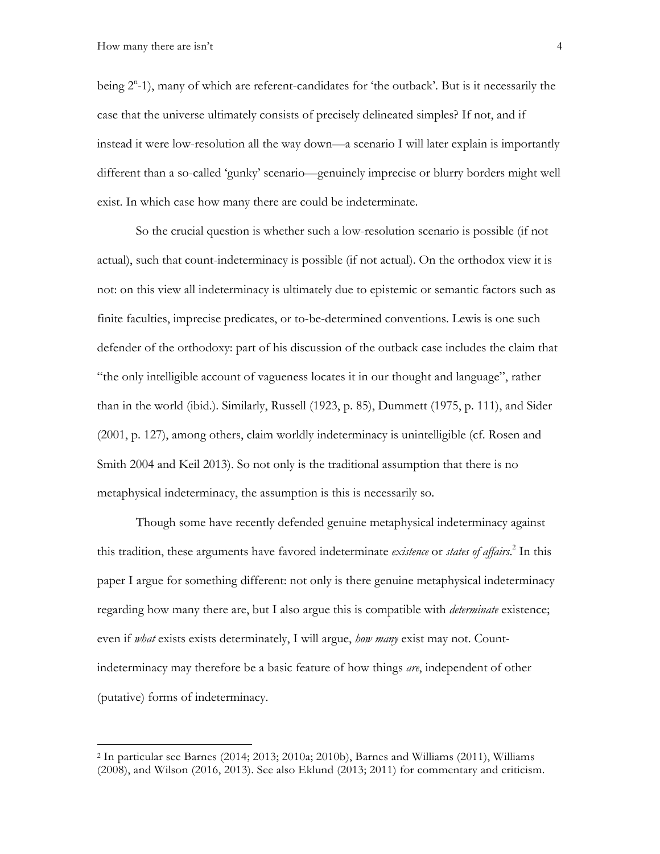being 2<sup>n</sup>-1), many of which are referent-candidates for 'the outback'. But is it necessarily the case that the universe ultimately consists of precisely delineated simples? If not, and if instead it were low-resolution all the way down—a scenario I will later explain is importantly different than a so-called 'gunky' scenario—genuinely imprecise or blurry borders might well exist. In which case how many there are could be indeterminate.

So the crucial question is whether such a low-resolution scenario is possible (if not actual), such that count-indeterminacy is possible (if not actual). On the orthodox view it is not: on this view all indeterminacy is ultimately due to epistemic or semantic factors such as finite faculties, imprecise predicates, or to-be-determined conventions. Lewis is one such defender of the orthodoxy: part of his discussion of the outback case includes the claim that "the only intelligible account of vagueness locates it in our thought and language", rather than in the world (ibid.). Similarly, Russell (1923, p. 85), Dummett (1975, p. 111), and Sider (2001, p. 127), among others, claim worldly indeterminacy is unintelligible (cf. Rosen and Smith 2004 and Keil 2013). So not only is the traditional assumption that there is no metaphysical indeterminacy, the assumption is this is necessarily so.

Though some have recently defended genuine metaphysical indeterminacy against this tradition, these arguments have favored indeterminate *existence* or *states of affairs*. <sup>2</sup> In this paper I argue for something different: not only is there genuine metaphysical indeterminacy regarding how many there are, but I also argue this is compatible with *determinate* existence; even if *what* exists exists determinately, I will argue, *how many* exist may not. Countindeterminacy may therefore be a basic feature of how things *are*, independent of other (putative) forms of indeterminacy.

<sup>2</sup> In particular see Barnes (2014; 2013; 2010a; 2010b), Barnes and Williams (2011), Williams (2008), and Wilson (2016, 2013). See also Eklund (2013; 2011) for commentary and criticism.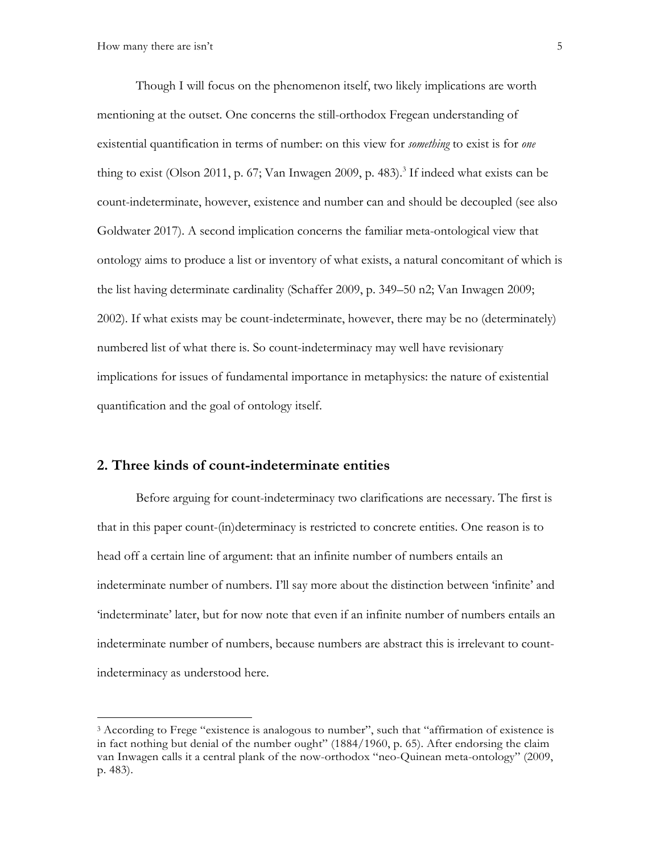Though I will focus on the phenomenon itself, two likely implications are worth mentioning at the outset. One concerns the still-orthodox Fregean understanding of existential quantification in terms of number: on this view for *something* to exist is for *one*  thing to exist (Olson 2011, p. 67; Van Inwagen 2009, p. 483).<sup>3</sup> If indeed what exists can be count-indeterminate, however, existence and number can and should be decoupled (see also Goldwater 2017). A second implication concerns the familiar meta-ontological view that ontology aims to produce a list or inventory of what exists, a natural concomitant of which is the list having determinate cardinality (Schaffer 2009, p. 349–50 n2; Van Inwagen 2009; 2002). If what exists may be count-indeterminate, however, there may be no (determinately) numbered list of what there is. So count-indeterminacy may well have revisionary implications for issues of fundamental importance in metaphysics: the nature of existential quantification and the goal of ontology itself.

# **2. Three kinds of count-indeterminate entities**

Before arguing for count-indeterminacy two clarifications are necessary. The first is that in this paper count-(in)determinacy is restricted to concrete entities. One reason is to head off a certain line of argument: that an infinite number of numbers entails an indeterminate number of numbers. I'll say more about the distinction between 'infinite' and 'indeterminate' later, but for now note that even if an infinite number of numbers entails an indeterminate number of numbers, because numbers are abstract this is irrelevant to countindeterminacy as understood here.

<sup>&</sup>lt;sup>3</sup> According to Frege "existence is analogous to number", such that "affirmation of existence is in fact nothing but denial of the number ought" (1884/1960, p. 65). After endorsing the claim van Inwagen calls it a central plank of the now-orthodox "neo-Quinean meta-ontology" (2009, p. 483).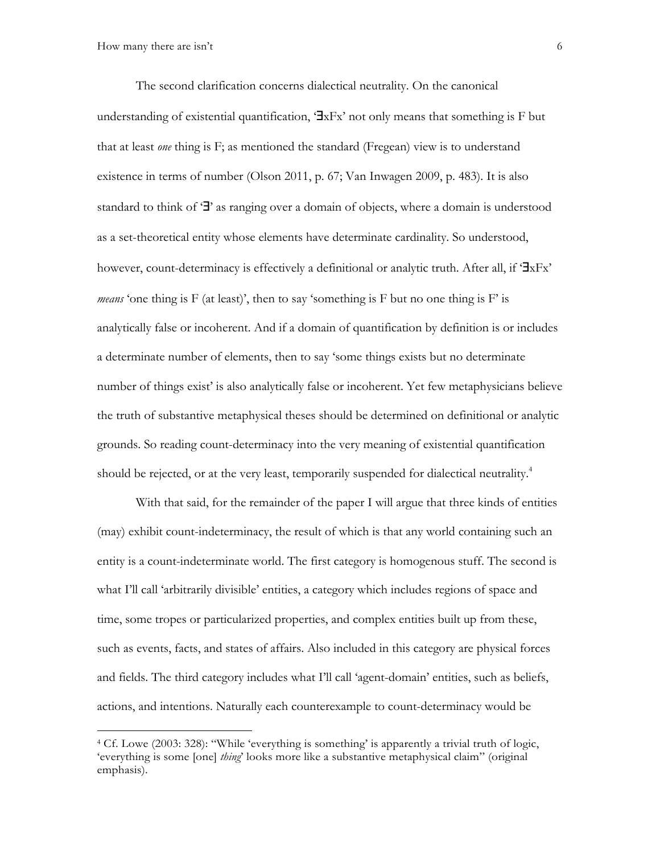The second clarification concerns dialectical neutrality. On the canonical understanding of existential quantification, '∃xFx' not only means that something is F but that at least *one* thing is F; as mentioned the standard (Fregean) view is to understand existence in terms of number (Olson 2011, p. 67; Van Inwagen 2009, p. 483). It is also standard to think of ∃' as ranging over a domain of objects, where a domain is understood as a set-theoretical entity whose elements have determinate cardinality. So understood, however, count-determinacy is effectively a definitional or analytic truth. After all, if '∃xFx' *means* 'one thing is F (at least)', then to say 'something is F but no one thing is F' is analytically false or incoherent. And if a domain of quantification by definition is or includes a determinate number of elements, then to say 'some things exists but no determinate number of things exist' is also analytically false or incoherent. Yet few metaphysicians believe the truth of substantive metaphysical theses should be determined on definitional or analytic grounds. So reading count-determinacy into the very meaning of existential quantification should be rejected, or at the very least, temporarily suspended for dialectical neutrality.<sup>4</sup>

With that said, for the remainder of the paper I will argue that three kinds of entities (may) exhibit count-indeterminacy, the result of which is that any world containing such an entity is a count-indeterminate world. The first category is homogenous stuff. The second is what I'll call 'arbitrarily divisible' entities, a category which includes regions of space and time, some tropes or particularized properties, and complex entities built up from these, such as events, facts, and states of affairs. Also included in this category are physical forces and fields. The third category includes what I'll call 'agent-domain' entities, such as beliefs, actions, and intentions. Naturally each counterexample to count-determinacy would be

<sup>4</sup> Cf. Lowe (2003: 328): "While 'everything is something' is apparently a trivial truth of logic, 'everything is some [one] *thing*' looks more like a substantive metaphysical claim" (original emphasis).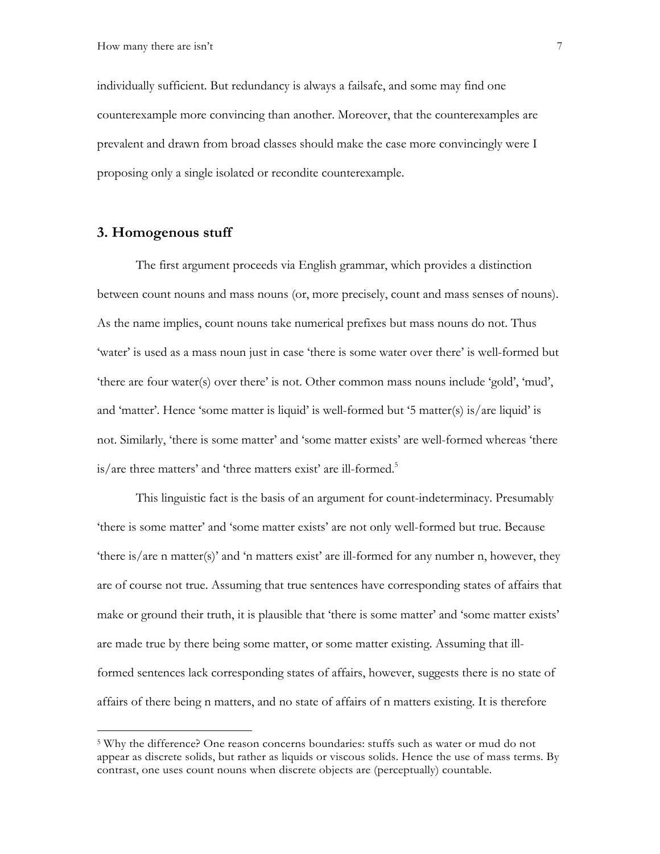individually sufficient. But redundancy is always a failsafe, and some may find one counterexample more convincing than another. Moreover, that the counterexamples are prevalent and drawn from broad classes should make the case more convincingly were I proposing only a single isolated or recondite counterexample.

## **3. Homogenous stuff**

 $\overline{a}$ 

The first argument proceeds via English grammar, which provides a distinction between count nouns and mass nouns (or, more precisely, count and mass senses of nouns). As the name implies, count nouns take numerical prefixes but mass nouns do not. Thus 'water' is used as a mass noun just in case 'there is some water over there' is well-formed but 'there are four water(s) over there' is not. Other common mass nouns include 'gold', 'mud', and 'matter'. Hence 'some matter is liquid' is well-formed but '5 matter(s) is/are liquid' is not. Similarly, 'there is some matter' and 'some matter exists' are well-formed whereas 'there is/are three matters' and 'three matters exist' are ill-formed.<sup>5</sup>

This linguistic fact is the basis of an argument for count-indeterminacy. Presumably 'there is some matter' and 'some matter exists' are not only well-formed but true. Because 'there is/are n matter(s)' and 'n matters exist' are ill-formed for any number n, however, they are of course not true. Assuming that true sentences have corresponding states of affairs that make or ground their truth, it is plausible that 'there is some matter' and 'some matter exists' are made true by there being some matter, or some matter existing. Assuming that illformed sentences lack corresponding states of affairs, however, suggests there is no state of affairs of there being n matters, and no state of affairs of n matters existing. It is therefore

<sup>5</sup> Why the difference? One reason concerns boundaries: stuffs such as water or mud do not appear as discrete solids, but rather as liquids or viscous solids. Hence the use of mass terms. By contrast, one uses count nouns when discrete objects are (perceptually) countable.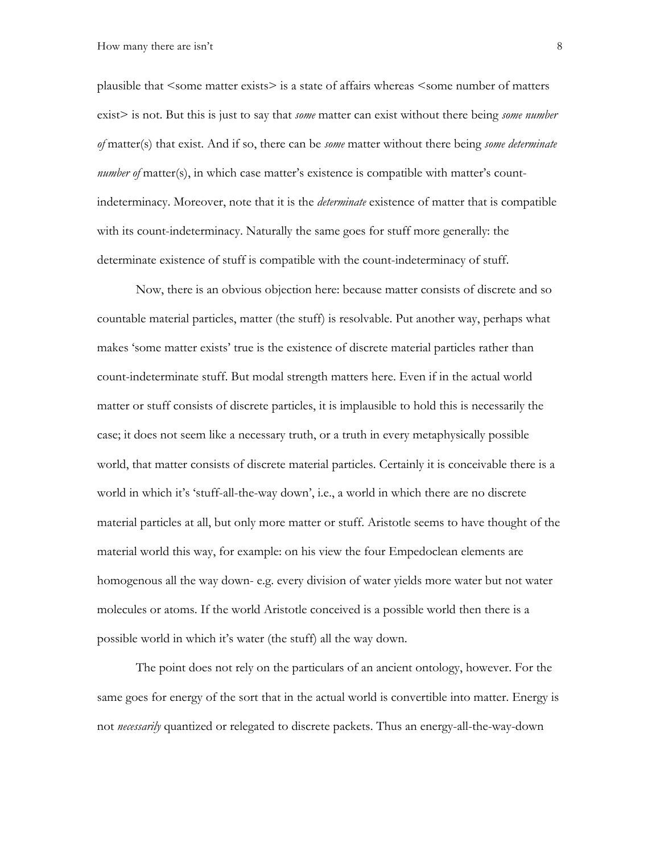plausible that <some matter exists> is a state of affairs whereas <some number of matters exist> is not. But this is just to say that *some* matter can exist without there being *some number of* matter(s) that exist. And if so, there can be *some* matter without there being *some determinate number of matter(s), in which case matter's existence is compatible with matter's count*indeterminacy. Moreover, note that it is the *determinate* existence of matter that is compatible with its count-indeterminacy. Naturally the same goes for stuff more generally: the determinate existence of stuff is compatible with the count-indeterminacy of stuff.

Now, there is an obvious objection here: because matter consists of discrete and so countable material particles, matter (the stuff) is resolvable. Put another way, perhaps what makes 'some matter exists' true is the existence of discrete material particles rather than count-indeterminate stuff. But modal strength matters here. Even if in the actual world matter or stuff consists of discrete particles, it is implausible to hold this is necessarily the case; it does not seem like a necessary truth, or a truth in every metaphysically possible world, that matter consists of discrete material particles. Certainly it is conceivable there is a world in which it's 'stuff-all-the-way down', i.e., a world in which there are no discrete material particles at all, but only more matter or stuff. Aristotle seems to have thought of the material world this way, for example: on his view the four Empedoclean elements are homogenous all the way down- e.g. every division of water yields more water but not water molecules or atoms. If the world Aristotle conceived is a possible world then there is a possible world in which it's water (the stuff) all the way down.

The point does not rely on the particulars of an ancient ontology, however. For the same goes for energy of the sort that in the actual world is convertible into matter. Energy is not *necessarily* quantized or relegated to discrete packets. Thus an energy-all-the-way-down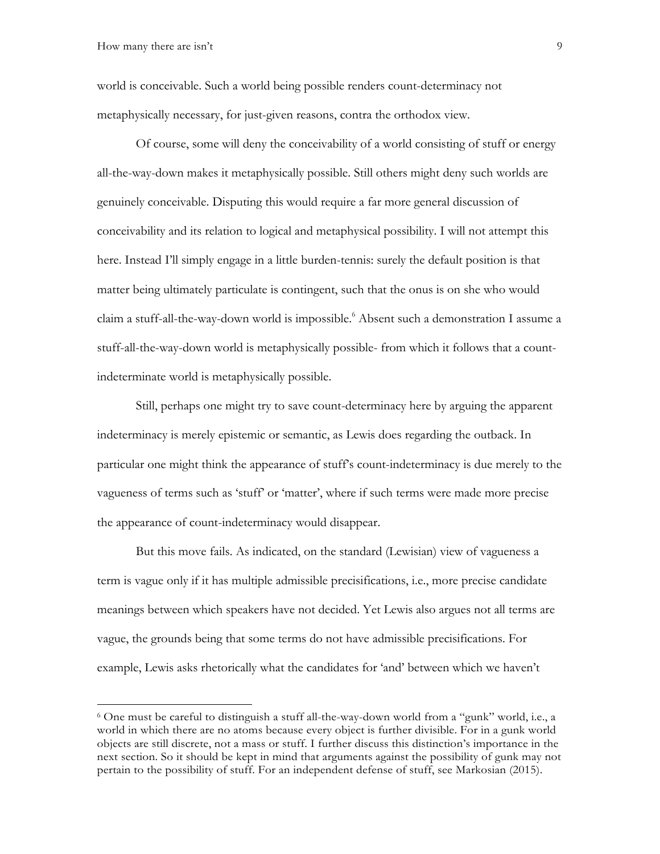world is conceivable. Such a world being possible renders count-determinacy not metaphysically necessary, for just-given reasons, contra the orthodox view.

Of course, some will deny the conceivability of a world consisting of stuff or energy all-the-way-down makes it metaphysically possible. Still others might deny such worlds are genuinely conceivable. Disputing this would require a far more general discussion of conceivability and its relation to logical and metaphysical possibility. I will not attempt this here. Instead I'll simply engage in a little burden-tennis: surely the default position is that matter being ultimately particulate is contingent, such that the onus is on she who would claim a stuff-all-the-way-down world is impossible.<sup>6</sup> Absent such a demonstration I assume a stuff-all-the-way-down world is metaphysically possible- from which it follows that a countindeterminate world is metaphysically possible.

Still, perhaps one might try to save count-determinacy here by arguing the apparent indeterminacy is merely epistemic or semantic, as Lewis does regarding the outback. In particular one might think the appearance of stuff's count-indeterminacy is due merely to the vagueness of terms such as 'stuff' or 'matter', where if such terms were made more precise the appearance of count-indeterminacy would disappear.

But this move fails. As indicated, on the standard (Lewisian) view of vagueness a term is vague only if it has multiple admissible precisifications, i.e., more precise candidate meanings between which speakers have not decided. Yet Lewis also argues not all terms are vague, the grounds being that some terms do not have admissible precisifications. For example, Lewis asks rhetorically what the candidates for 'and' between which we haven't

<sup>6</sup> One must be careful to distinguish a stuff all-the-way-down world from a "gunk" world, i.e., a world in which there are no atoms because every object is further divisible. For in a gunk world objects are still discrete, not a mass or stuff. I further discuss this distinction's importance in the next section. So it should be kept in mind that arguments against the possibility of gunk may not pertain to the possibility of stuff. For an independent defense of stuff, see Markosian (2015).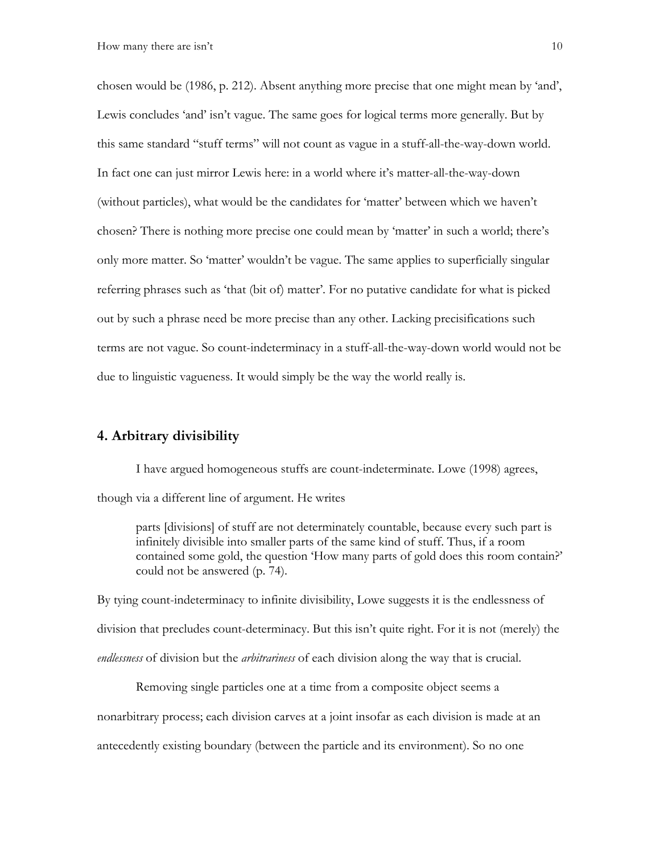chosen would be (1986, p. 212). Absent anything more precise that one might mean by 'and', Lewis concludes 'and' isn't vague. The same goes for logical terms more generally. But by this same standard "stuff terms" will not count as vague in a stuff-all-the-way-down world. In fact one can just mirror Lewis here: in a world where it's matter-all-the-way-down (without particles), what would be the candidates for 'matter' between which we haven't chosen? There is nothing more precise one could mean by 'matter' in such a world; there's only more matter. So 'matter' wouldn't be vague. The same applies to superficially singular referring phrases such as 'that (bit of) matter'. For no putative candidate for what is picked out by such a phrase need be more precise than any other. Lacking precisifications such terms are not vague. So count-indeterminacy in a stuff-all-the-way-down world would not be due to linguistic vagueness. It would simply be the way the world really is.

#### **4. Arbitrary divisibility**

I have argued homogeneous stuffs are count-indeterminate. Lowe (1998) agrees, though via a different line of argument. He writes

parts [divisions] of stuff are not determinately countable, because every such part is infinitely divisible into smaller parts of the same kind of stuff. Thus, if a room contained some gold, the question 'How many parts of gold does this room contain?' could not be answered (p. 74).

By tying count-indeterminacy to infinite divisibility, Lowe suggests it is the endlessness of division that precludes count-determinacy. But this isn't quite right. For it is not (merely) the *endlessness* of division but the *arbitrariness* of each division along the way that is crucial.

Removing single particles one at a time from a composite object seems a nonarbitrary process; each division carves at a joint insofar as each division is made at an antecedently existing boundary (between the particle and its environment). So no one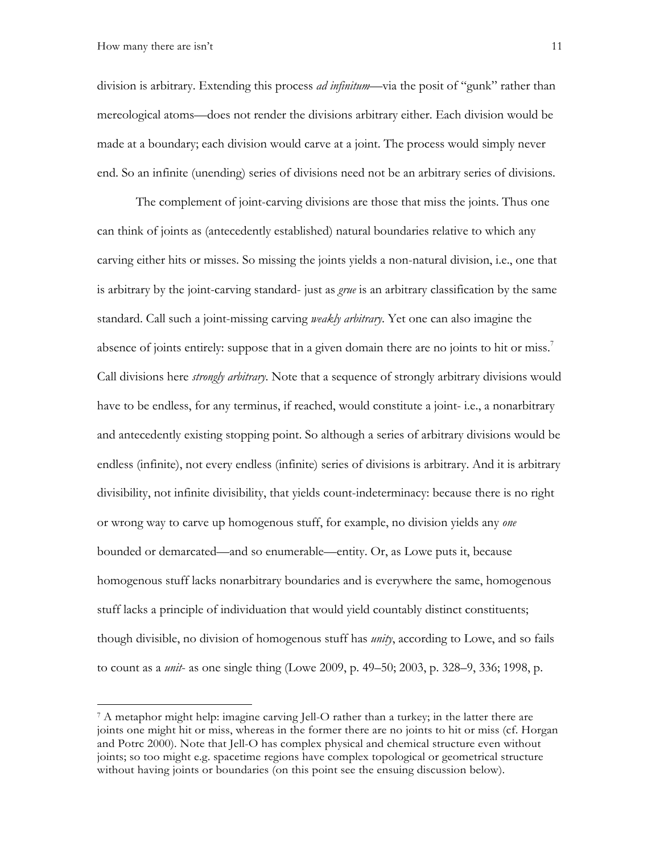division is arbitrary. Extending this process *ad infinitum*—via the posit of "gunk" rather than mereological atoms—does not render the divisions arbitrary either. Each division would be made at a boundary; each division would carve at a joint. The process would simply never end. So an infinite (unending) series of divisions need not be an arbitrary series of divisions.

The complement of joint-carving divisions are those that miss the joints. Thus one can think of joints as (antecedently established) natural boundaries relative to which any carving either hits or misses. So missing the joints yields a non-natural division, i.e., one that is arbitrary by the joint-carving standard- just as *grue* is an arbitrary classification by the same standard. Call such a joint-missing carving *weakly arbitrary*. Yet one can also imagine the absence of joints entirely: suppose that in a given domain there are no joints to hit or miss.<sup>7</sup> Call divisions here *strongly arbitrary*. Note that a sequence of strongly arbitrary divisions would have to be endless, for any terminus, if reached, would constitute a joint- i.e., a nonarbitrary and antecedently existing stopping point. So although a series of arbitrary divisions would be endless (infinite), not every endless (infinite) series of divisions is arbitrary. And it is arbitrary divisibility, not infinite divisibility, that yields count-indeterminacy: because there is no right or wrong way to carve up homogenous stuff, for example, no division yields any *one*  bounded or demarcated—and so enumerable—entity. Or, as Lowe puts it, because homogenous stuff lacks nonarbitrary boundaries and is everywhere the same, homogenous stuff lacks a principle of individuation that would yield countably distinct constituents; though divisible, no division of homogenous stuff has *unity*, according to Lowe, and so fails to count as a *unit*- as one single thing (Lowe 2009, p. 49–50; 2003, p. 328–9, 336; 1998, p.

<sup>&</sup>lt;sup>7</sup> A metaphor might help: imagine carving Jell-O rather than a turkey; in the latter there are joints one might hit or miss, whereas in the former there are no joints to hit or miss (cf. Horgan and Potrc 2000). Note that Jell-O has complex physical and chemical structure even without joints; so too might e.g. spacetime regions have complex topological or geometrical structure without having joints or boundaries (on this point see the ensuing discussion below).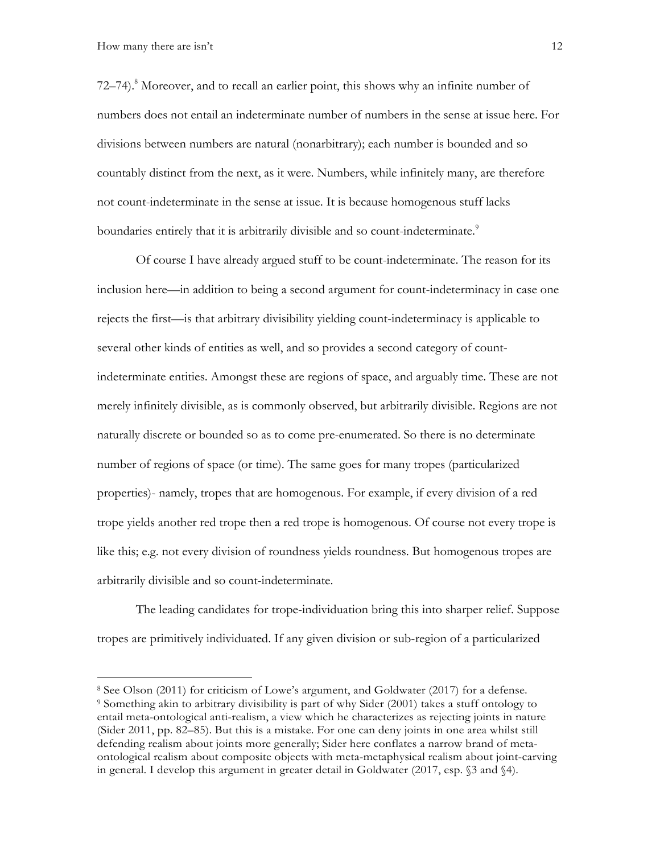72–74).<sup>8</sup> Moreover, and to recall an earlier point, this shows why an infinite number of numbers does not entail an indeterminate number of numbers in the sense at issue here. For divisions between numbers are natural (nonarbitrary); each number is bounded and so countably distinct from the next, as it were. Numbers, while infinitely many, are therefore not count-indeterminate in the sense at issue. It is because homogenous stuff lacks boundaries entirely that it is arbitrarily divisible and so count-indeterminate.<sup>9</sup>

Of course I have already argued stuff to be count-indeterminate. The reason for its inclusion here—in addition to being a second argument for count-indeterminacy in case one rejects the first—is that arbitrary divisibility yielding count-indeterminacy is applicable to several other kinds of entities as well, and so provides a second category of countindeterminate entities. Amongst these are regions of space, and arguably time. These are not merely infinitely divisible, as is commonly observed, but arbitrarily divisible. Regions are not naturally discrete or bounded so as to come pre-enumerated. So there is no determinate number of regions of space (or time). The same goes for many tropes (particularized properties)- namely, tropes that are homogenous. For example, if every division of a red trope yields another red trope then a red trope is homogenous. Of course not every trope is like this; e.g. not every division of roundness yields roundness. But homogenous tropes are arbitrarily divisible and so count-indeterminate.

The leading candidates for trope-individuation bring this into sharper relief. Suppose tropes are primitively individuated. If any given division or sub-region of a particularized

<sup>8</sup> See Olson (2011) for criticism of Lowe's argument, and Goldwater (2017) for a defense. <sup>9</sup> Something akin to arbitrary divisibility is part of why Sider (2001) takes a stuff ontology to entail meta-ontological anti-realism, a view which he characterizes as rejecting joints in nature (Sider 2011, pp. 82–85). But this is a mistake. For one can deny joints in one area whilst still defending realism about joints more generally; Sider here conflates a narrow brand of metaontological realism about composite objects with meta-metaphysical realism about joint-carving in general. I develop this argument in greater detail in Goldwater (2017, esp. §3 and §4).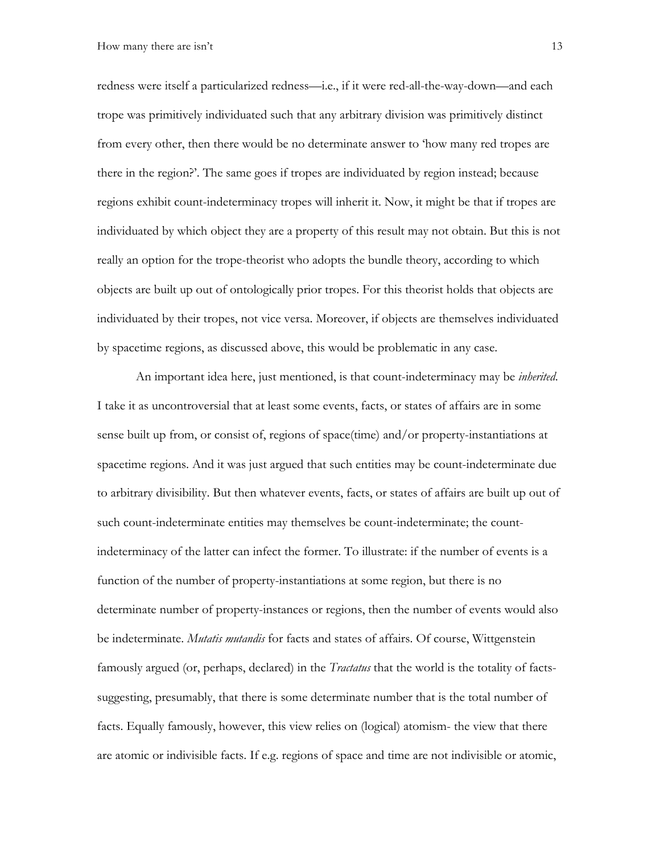redness were itself a particularized redness—i.e., if it were red-all-the-way-down—and each trope was primitively individuated such that any arbitrary division was primitively distinct from every other, then there would be no determinate answer to 'how many red tropes are there in the region?'. The same goes if tropes are individuated by region instead; because regions exhibit count-indeterminacy tropes will inherit it. Now, it might be that if tropes are individuated by which object they are a property of this result may not obtain. But this is not really an option for the trope-theorist who adopts the bundle theory, according to which objects are built up out of ontologically prior tropes. For this theorist holds that objects are individuated by their tropes, not vice versa. Moreover, if objects are themselves individuated by spacetime regions, as discussed above, this would be problematic in any case.

An important idea here, just mentioned, is that count-indeterminacy may be *inherited*. I take it as uncontroversial that at least some events, facts, or states of affairs are in some sense built up from, or consist of, regions of space(time) and/or property-instantiations at spacetime regions. And it was just argued that such entities may be count-indeterminate due to arbitrary divisibility. But then whatever events, facts, or states of affairs are built up out of such count-indeterminate entities may themselves be count-indeterminate; the countindeterminacy of the latter can infect the former. To illustrate: if the number of events is a function of the number of property-instantiations at some region, but there is no determinate number of property-instances or regions, then the number of events would also be indeterminate. *Mutatis mutandis* for facts and states of affairs. Of course, Wittgenstein famously argued (or, perhaps, declared) in the *Tractatus* that the world is the totality of factssuggesting, presumably, that there is some determinate number that is the total number of facts. Equally famously, however, this view relies on (logical) atomism- the view that there are atomic or indivisible facts. If e.g. regions of space and time are not indivisible or atomic,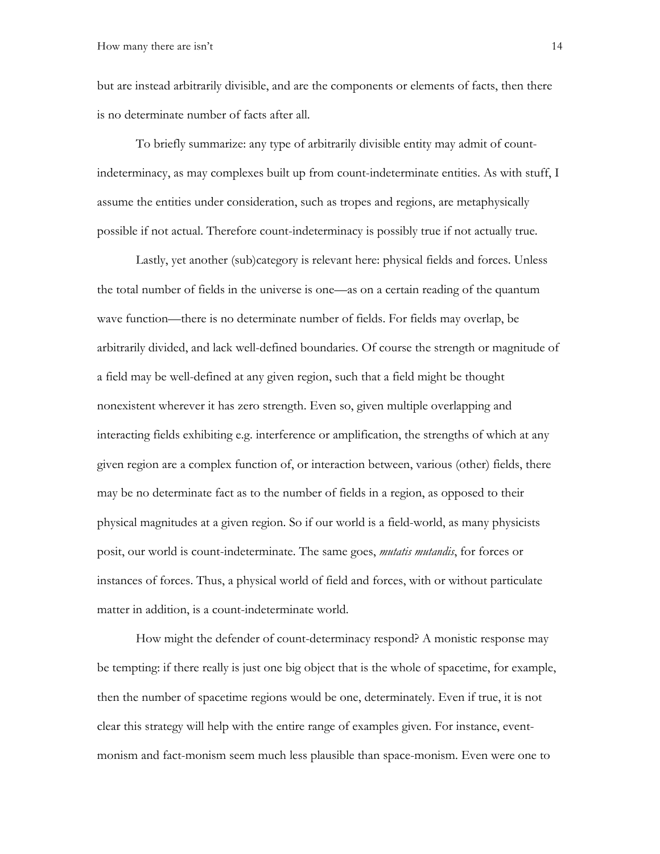but are instead arbitrarily divisible, and are the components or elements of facts, then there is no determinate number of facts after all.

To briefly summarize: any type of arbitrarily divisible entity may admit of countindeterminacy, as may complexes built up from count-indeterminate entities. As with stuff, I assume the entities under consideration, such as tropes and regions, are metaphysically possible if not actual. Therefore count-indeterminacy is possibly true if not actually true.

Lastly, yet another (sub)category is relevant here: physical fields and forces. Unless the total number of fields in the universe is one—as on a certain reading of the quantum wave function—there is no determinate number of fields. For fields may overlap, be arbitrarily divided, and lack well-defined boundaries. Of course the strength or magnitude of a field may be well-defined at any given region, such that a field might be thought nonexistent wherever it has zero strength. Even so, given multiple overlapping and interacting fields exhibiting e.g. interference or amplification, the strengths of which at any given region are a complex function of, or interaction between, various (other) fields, there may be no determinate fact as to the number of fields in a region, as opposed to their physical magnitudes at a given region. So if our world is a field-world, as many physicists posit, our world is count-indeterminate. The same goes, *mutatis mutandis*, for forces or instances of forces. Thus, a physical world of field and forces, with or without particulate matter in addition, is a count-indeterminate world.

How might the defender of count-determinacy respond? A monistic response may be tempting: if there really is just one big object that is the whole of spacetime, for example, then the number of spacetime regions would be one, determinately. Even if true, it is not clear this strategy will help with the entire range of examples given. For instance, eventmonism and fact-monism seem much less plausible than space-monism. Even were one to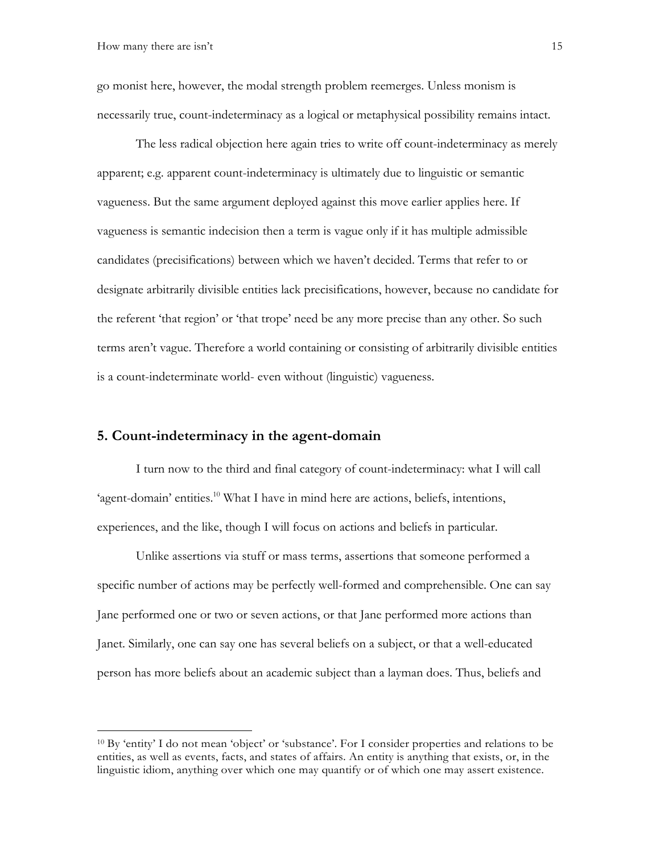go monist here, however, the modal strength problem reemerges. Unless monism is necessarily true, count-indeterminacy as a logical or metaphysical possibility remains intact.

The less radical objection here again tries to write off count-indeterminacy as merely apparent; e.g. apparent count-indeterminacy is ultimately due to linguistic or semantic vagueness. But the same argument deployed against this move earlier applies here. If vagueness is semantic indecision then a term is vague only if it has multiple admissible candidates (precisifications) between which we haven't decided. Terms that refer to or designate arbitrarily divisible entities lack precisifications, however, because no candidate for the referent 'that region' or 'that trope' need be any more precise than any other. So such terms aren't vague. Therefore a world containing or consisting of arbitrarily divisible entities is a count-indeterminate world- even without (linguistic) vagueness.

#### **5. Count-indeterminacy in the agent-domain**

I turn now to the third and final category of count-indeterminacy: what I will call 'agent-domain' entities.<sup>10</sup> What I have in mind here are actions, beliefs, intentions, experiences, and the like, though I will focus on actions and beliefs in particular.

Unlike assertions via stuff or mass terms, assertions that someone performed a specific number of actions may be perfectly well-formed and comprehensible. One can say Jane performed one or two or seven actions, or that Jane performed more actions than Janet. Similarly, one can say one has several beliefs on a subject, or that a well-educated person has more beliefs about an academic subject than a layman does. Thus, beliefs and

<sup>10</sup> By 'entity' I do not mean 'object' or 'substance'. For I consider properties and relations to be entities, as well as events, facts, and states of affairs. An entity is anything that exists, or, in the linguistic idiom, anything over which one may quantify or of which one may assert existence.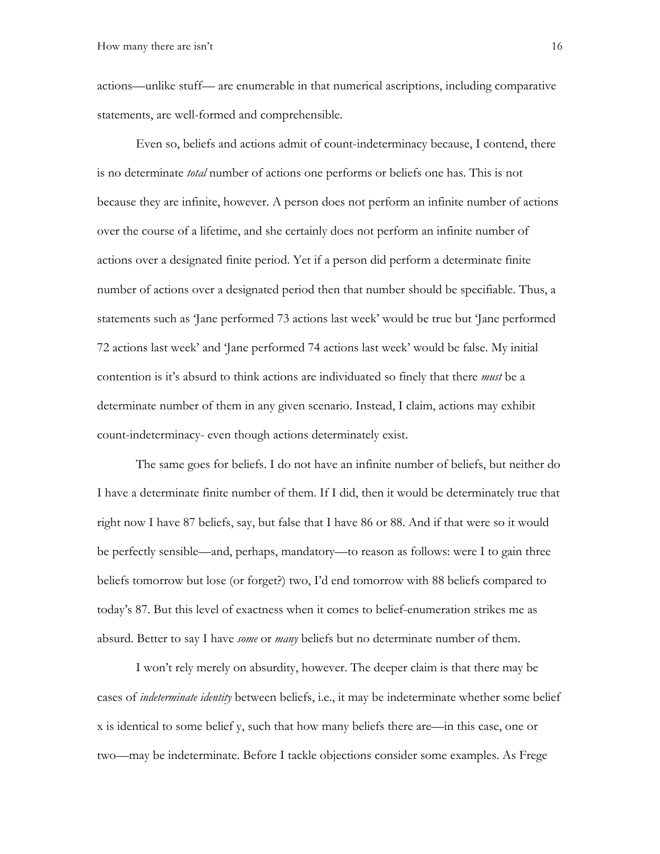actions—unlike stuff— are enumerable in that numerical ascriptions, including comparative statements, are well-formed and comprehensible.

Even so, beliefs and actions admit of count-indeterminacy because, I contend, there is no determinate *total* number of actions one performs or beliefs one has. This is not because they are infinite, however. A person does not perform an infinite number of actions over the course of a lifetime, and she certainly does not perform an infinite number of actions over a designated finite period. Yet if a person did perform a determinate finite number of actions over a designated period then that number should be specifiable. Thus, a statements such as 'Jane performed 73 actions last week' would be true but 'Jane performed 72 actions last week' and 'Jane performed 74 actions last week' would be false. My initial contention is it's absurd to think actions are individuated so finely that there *must* be a determinate number of them in any given scenario. Instead, I claim, actions may exhibit count-indeterminacy- even though actions determinately exist.

The same goes for beliefs. I do not have an infinite number of beliefs, but neither do I have a determinate finite number of them. If I did, then it would be determinately true that right now I have 87 beliefs, say, but false that I have 86 or 88. And if that were so it would be perfectly sensible—and, perhaps, mandatory—to reason as follows: were I to gain three beliefs tomorrow but lose (or forget?) two, I'd end tomorrow with 88 beliefs compared to today's 87. But this level of exactness when it comes to belief-enumeration strikes me as absurd. Better to say I have *some* or *many* beliefs but no determinate number of them.

I won't rely merely on absurdity, however. The deeper claim is that there may be cases of *indeterminate identity* between beliefs, i.e., it may be indeterminate whether some belief x is identical to some belief y, such that how many beliefs there are—in this case, one or two—may be indeterminate. Before I tackle objections consider some examples. As Frege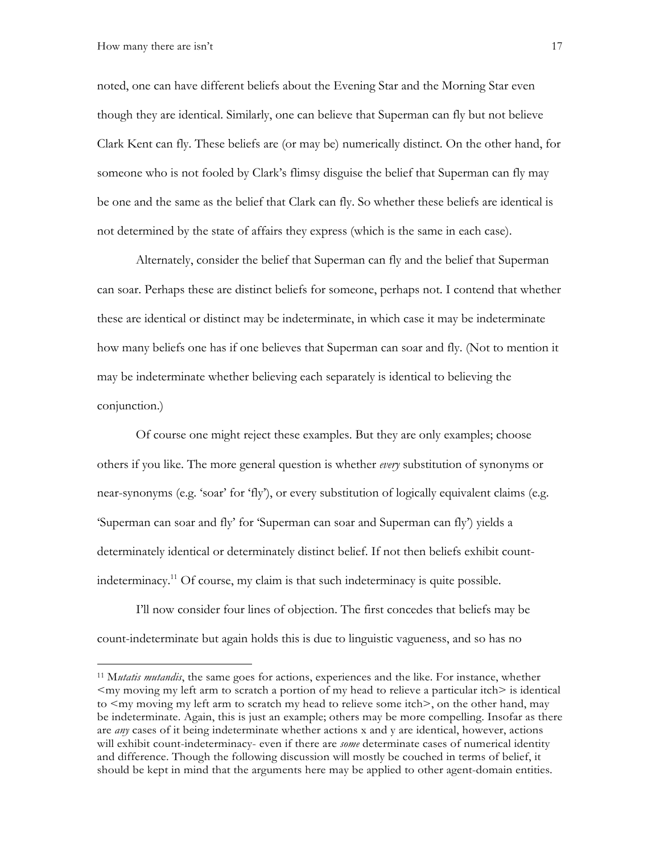noted, one can have different beliefs about the Evening Star and the Morning Star even though they are identical. Similarly, one can believe that Superman can fly but not believe Clark Kent can fly. These beliefs are (or may be) numerically distinct. On the other hand, for someone who is not fooled by Clark's flimsy disguise the belief that Superman can fly may be one and the same as the belief that Clark can fly. So whether these beliefs are identical is not determined by the state of affairs they express (which is the same in each case).

Alternately, consider the belief that Superman can fly and the belief that Superman can soar. Perhaps these are distinct beliefs for someone, perhaps not. I contend that whether these are identical or distinct may be indeterminate, in which case it may be indeterminate how many beliefs one has if one believes that Superman can soar and fly. (Not to mention it may be indeterminate whether believing each separately is identical to believing the conjunction.)

Of course one might reject these examples. But they are only examples; choose others if you like. The more general question is whether *every* substitution of synonyms or near-synonyms (e.g. 'soar' for 'fly'), or every substitution of logically equivalent claims (e.g. 'Superman can soar and fly' for 'Superman can soar and Superman can fly') yields a determinately identical or determinately distinct belief. If not then beliefs exhibit countindeterminacy.<sup>11</sup> Of course, my claim is that such indeterminacy is quite possible.

I'll now consider four lines of objection. The first concedes that beliefs may be count-indeterminate but again holds this is due to linguistic vagueness, and so has no

<sup>11</sup> M*utatis mutandis*, the same goes for actions, experiences and the like. For instance, whether <my moving my left arm to scratch a portion of my head to relieve a particular itch> is identical to  $\leq$  my moving my left arm to scratch my head to relieve some itch $\geq$ , on the other hand, may be indeterminate. Again, this is just an example; others may be more compelling. Insofar as there are *any* cases of it being indeterminate whether actions x and y are identical, however, actions will exhibit count-indeterminacy- even if there are *some* determinate cases of numerical identity and difference. Though the following discussion will mostly be couched in terms of belief, it should be kept in mind that the arguments here may be applied to other agent-domain entities.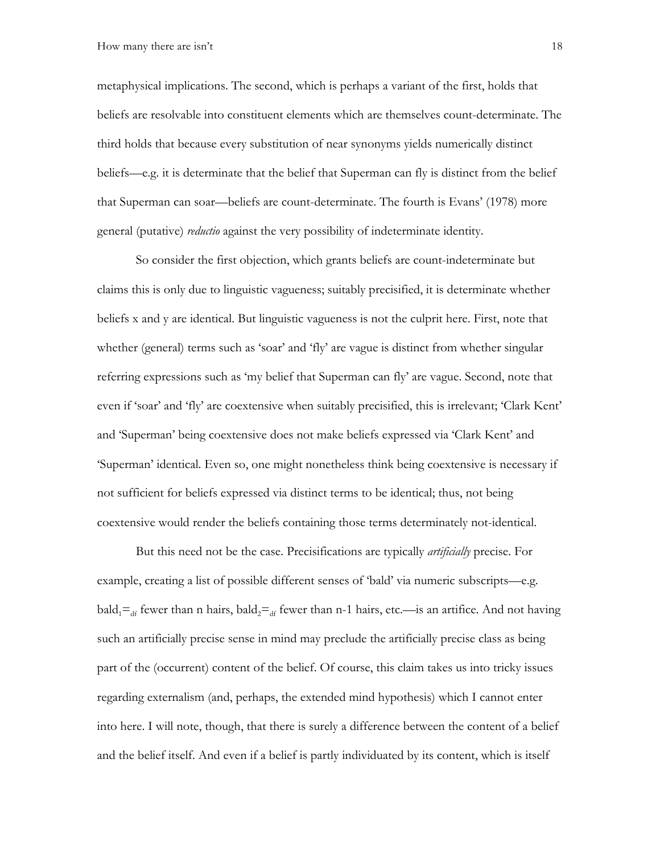metaphysical implications. The second, which is perhaps a variant of the first, holds that beliefs are resolvable into constituent elements which are themselves count-determinate. The third holds that because every substitution of near synonyms yields numerically distinct beliefs—e.g. it is determinate that the belief that Superman can fly is distinct from the belief that Superman can soar—beliefs are count-determinate. The fourth is Evans' (1978) more general (putative) *reductio* against the very possibility of indeterminate identity.

So consider the first objection, which grants beliefs are count-indeterminate but claims this is only due to linguistic vagueness; suitably precisified, it is determinate whether beliefs x and y are identical. But linguistic vagueness is not the culprit here. First, note that whether (general) terms such as 'soar' and 'fly' are vague is distinct from whether singular referring expressions such as 'my belief that Superman can fly' are vague. Second, note that even if 'soar' and 'fly' are coextensive when suitably precisified, this is irrelevant; 'Clark Kent' and 'Superman' being coextensive does not make beliefs expressed via 'Clark Kent' and 'Superman' identical. Even so, one might nonetheless think being coextensive is necessary if not sufficient for beliefs expressed via distinct terms to be identical; thus, not being coextensive would render the beliefs containing those terms determinately not-identical.

But this need not be the case. Precisifications are typically *artificially* precise. For example, creating a list of possible different senses of 'bald' via numeric subscripts—e.g. bald<sub>1</sub>=<sub>df</sub> fewer than n hairs, bald<sub>2</sub>=<sub>df</sub> fewer than n-1 hairs, etc.—is an artifice. And not having such an artificially precise sense in mind may preclude the artificially precise class as being part of the (occurrent) content of the belief. Of course, this claim takes us into tricky issues regarding externalism (and, perhaps, the extended mind hypothesis) which I cannot enter into here. I will note, though, that there is surely a difference between the content of a belief and the belief itself. And even if a belief is partly individuated by its content, which is itself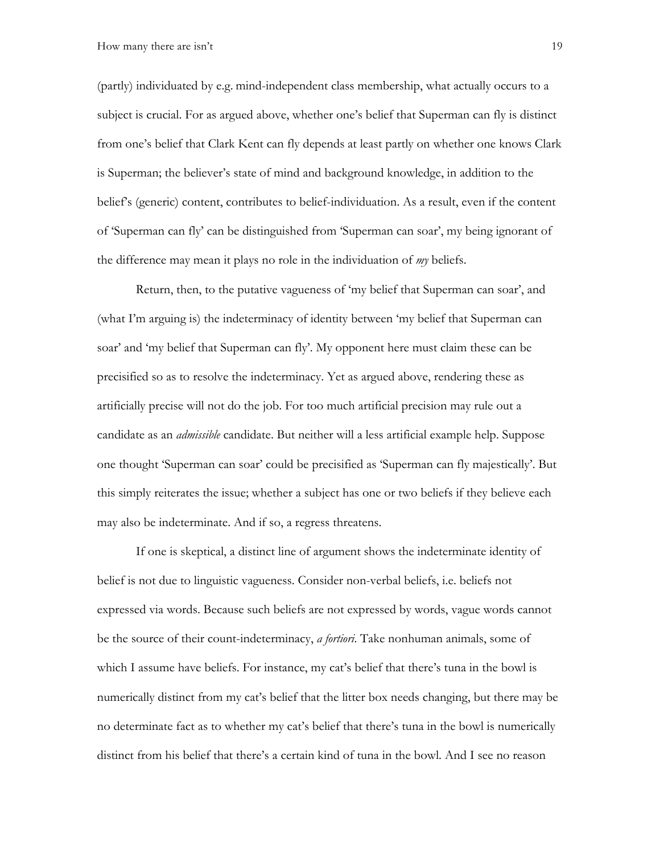(partly) individuated by e.g. mind-independent class membership, what actually occurs to a subject is crucial. For as argued above, whether one's belief that Superman can fly is distinct from one's belief that Clark Kent can fly depends at least partly on whether one knows Clark is Superman; the believer's state of mind and background knowledge, in addition to the belief's (generic) content, contributes to belief-individuation. As a result, even if the content of 'Superman can fly' can be distinguished from 'Superman can soar', my being ignorant of the difference may mean it plays no role in the individuation of *my* beliefs.

Return, then, to the putative vagueness of 'my belief that Superman can soar', and (what I'm arguing is) the indeterminacy of identity between 'my belief that Superman can soar' and 'my belief that Superman can fly'. My opponent here must claim these can be precisified so as to resolve the indeterminacy. Yet as argued above, rendering these as artificially precise will not do the job. For too much artificial precision may rule out a candidate as an *admissible* candidate. But neither will a less artificial example help. Suppose one thought 'Superman can soar' could be precisified as 'Superman can fly majestically'. But this simply reiterates the issue; whether a subject has one or two beliefs if they believe each may also be indeterminate. And if so, a regress threatens.

If one is skeptical, a distinct line of argument shows the indeterminate identity of belief is not due to linguistic vagueness. Consider non-verbal beliefs, i.e. beliefs not expressed via words. Because such beliefs are not expressed by words, vague words cannot be the source of their count-indeterminacy, *a fortiori*. Take nonhuman animals, some of which I assume have beliefs. For instance, my cat's belief that there's tuna in the bowl is numerically distinct from my cat's belief that the litter box needs changing, but there may be no determinate fact as to whether my cat's belief that there's tuna in the bowl is numerically distinct from his belief that there's a certain kind of tuna in the bowl. And I see no reason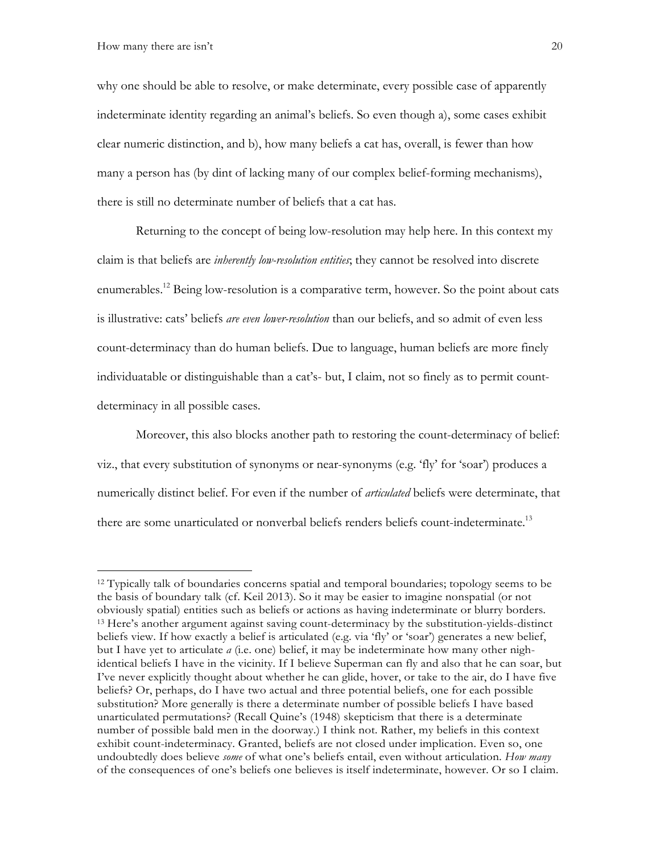why one should be able to resolve, or make determinate, every possible case of apparently indeterminate identity regarding an animal's beliefs. So even though a), some cases exhibit clear numeric distinction, and b), how many beliefs a cat has, overall, is fewer than how many a person has (by dint of lacking many of our complex belief-forming mechanisms), there is still no determinate number of beliefs that a cat has.

Returning to the concept of being low-resolution may help here. In this context my claim is that beliefs are *inherently low-resolution entities*; they cannot be resolved into discrete enumerables.<sup>12</sup> Being low-resolution is a comparative term, however. So the point about cats is illustrative: cats' beliefs *are even lower-resolution* than our beliefs, and so admit of even less count-determinacy than do human beliefs. Due to language, human beliefs are more finely individuatable or distinguishable than a cat's- but, I claim, not so finely as to permit countdeterminacy in all possible cases.

Moreover, this also blocks another path to restoring the count-determinacy of belief: viz., that every substitution of synonyms or near-synonyms (e.g. 'fly' for 'soar') produces a numerically distinct belief. For even if the number of *articulated* beliefs were determinate, that there are some unarticulated or nonverbal beliefs renders beliefs count-indeterminate.<sup>13</sup>

<sup>12</sup> Typically talk of boundaries concerns spatial and temporal boundaries; topology seems to be the basis of boundary talk (cf. Keil 2013). So it may be easier to imagine nonspatial (or not obviously spatial) entities such as beliefs or actions as having indeterminate or blurry borders. <sup>13</sup> Here's another argument against saving count-determinacy by the substitution-yields-distinct beliefs view. If how exactly a belief is articulated (e.g. via 'fly' or 'soar') generates a new belief, but I have yet to articulate *a* (i.e. one) belief, it may be indeterminate how many other nighidentical beliefs I have in the vicinity. If I believe Superman can fly and also that he can soar, but I've never explicitly thought about whether he can glide, hover, or take to the air, do I have five beliefs? Or, perhaps, do I have two actual and three potential beliefs, one for each possible substitution? More generally is there a determinate number of possible beliefs I have based unarticulated permutations? (Recall Quine's (1948) skepticism that there is a determinate number of possible bald men in the doorway.) I think not. Rather, my beliefs in this context exhibit count-indeterminacy. Granted, beliefs are not closed under implication. Even so, one undoubtedly does believe *some* of what one's beliefs entail, even without articulation. *How many* of the consequences of one's beliefs one believes is itself indeterminate, however. Or so I claim.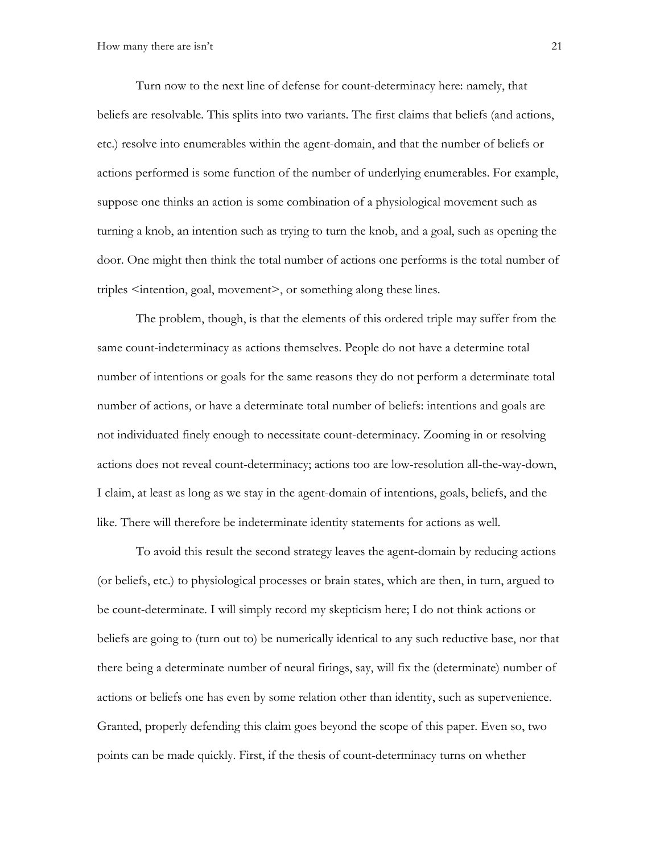Turn now to the next line of defense for count-determinacy here: namely, that beliefs are resolvable. This splits into two variants. The first claims that beliefs (and actions, etc.) resolve into enumerables within the agent-domain, and that the number of beliefs or actions performed is some function of the number of underlying enumerables. For example, suppose one thinks an action is some combination of a physiological movement such as turning a knob, an intention such as trying to turn the knob, and a goal, such as opening the door. One might then think the total number of actions one performs is the total number of triples <intention, goal, movement>, or something along these lines.

The problem, though, is that the elements of this ordered triple may suffer from the same count-indeterminacy as actions themselves. People do not have a determine total number of intentions or goals for the same reasons they do not perform a determinate total number of actions, or have a determinate total number of beliefs: intentions and goals are not individuated finely enough to necessitate count-determinacy. Zooming in or resolving actions does not reveal count-determinacy; actions too are low-resolution all-the-way-down, I claim, at least as long as we stay in the agent-domain of intentions, goals, beliefs, and the like. There will therefore be indeterminate identity statements for actions as well.

To avoid this result the second strategy leaves the agent-domain by reducing actions (or beliefs, etc.) to physiological processes or brain states, which are then, in turn, argued to be count-determinate. I will simply record my skepticism here; I do not think actions or beliefs are going to (turn out to) be numerically identical to any such reductive base, nor that there being a determinate number of neural firings, say, will fix the (determinate) number of actions or beliefs one has even by some relation other than identity, such as supervenience. Granted, properly defending this claim goes beyond the scope of this paper. Even so, two points can be made quickly. First, if the thesis of count-determinacy turns on whether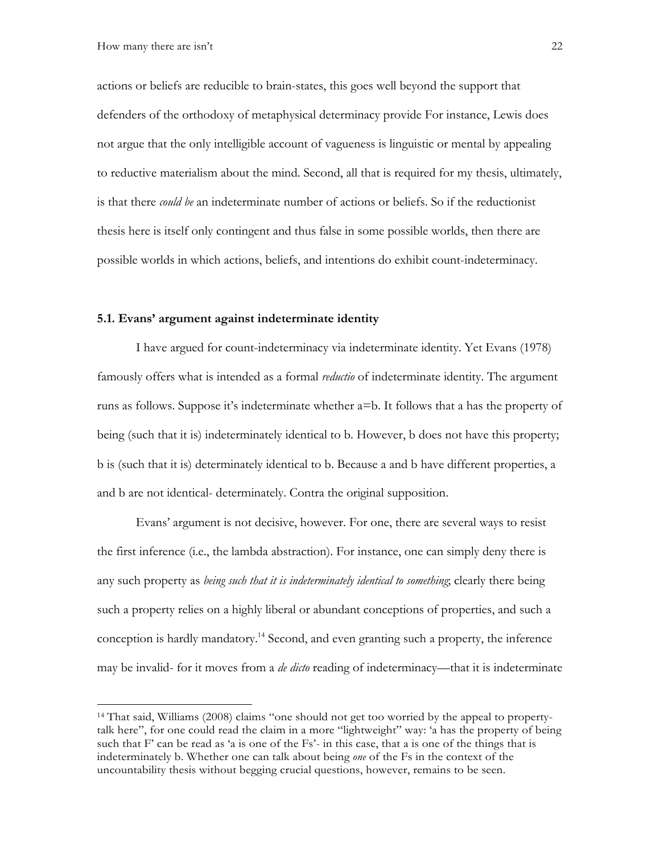actions or beliefs are reducible to brain-states, this goes well beyond the support that defenders of the orthodoxy of metaphysical determinacy provide For instance, Lewis does not argue that the only intelligible account of vagueness is linguistic or mental by appealing to reductive materialism about the mind. Second, all that is required for my thesis, ultimately, is that there *could be* an indeterminate number of actions or beliefs. So if the reductionist thesis here is itself only contingent and thus false in some possible worlds, then there are possible worlds in which actions, beliefs, and intentions do exhibit count-indeterminacy.

#### **5.1. Evans' argument against indeterminate identity**

I have argued for count-indeterminacy via indeterminate identity. Yet Evans (1978) famously offers what is intended as a formal *reductio* of indeterminate identity. The argument runs as follows. Suppose it's indeterminate whether a=b. It follows that a has the property of being (such that it is) indeterminately identical to b. However, b does not have this property; b is (such that it is) determinately identical to b. Because a and b have different properties, a and b are not identical- determinately. Contra the original supposition.

Evans' argument is not decisive, however. For one, there are several ways to resist the first inference (i.e., the lambda abstraction). For instance, one can simply deny there is any such property as *being such that it is indeterminately identical to something*; clearly there being such a property relies on a highly liberal or abundant conceptions of properties, and such a conception is hardly mandatory.<sup>14</sup> Second, and even granting such a property, the inference may be invalid- for it moves from a *de dicto* reading of indeterminacy—that it is indeterminate

<sup>14</sup> That said, Williams (2008) claims "one should not get too worried by the appeal to propertytalk here", for one could read the claim in a more "lightweight" way: 'a has the property of being such that F' can be read as 'a is one of the Fs'- in this case, that a is one of the things that is indeterminately b. Whether one can talk about being *one* of the Fs in the context of the uncountability thesis without begging crucial questions, however, remains to be seen.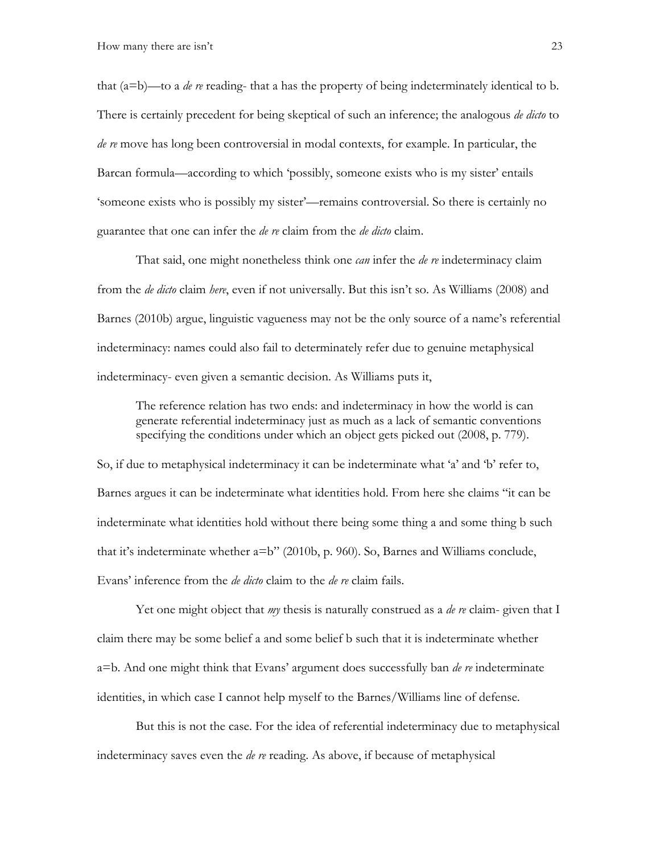that (a=b)—to a *de re* reading- that a has the property of being indeterminately identical to b. There is certainly precedent for being skeptical of such an inference; the analogous *de dicto* to *de re* move has long been controversial in modal contexts, for example. In particular, the Barcan formula—according to which 'possibly, someone exists who is my sister' entails 'someone exists who is possibly my sister'—remains controversial. So there is certainly no guarantee that one can infer the *de re* claim from the *de dicto* claim.

That said, one might nonetheless think one *can* infer the *de re* indeterminacy claim from the *de dicto* claim *here*, even if not universally. But this isn't so. As Williams (2008) and Barnes (2010b) argue, linguistic vagueness may not be the only source of a name's referential indeterminacy: names could also fail to determinately refer due to genuine metaphysical indeterminacy- even given a semantic decision. As Williams puts it,

The reference relation has two ends: and indeterminacy in how the world is can generate referential indeterminacy just as much as a lack of semantic conventions specifying the conditions under which an object gets picked out (2008, p. 779).

So, if due to metaphysical indeterminacy it can be indeterminate what 'a' and 'b' refer to, Barnes argues it can be indeterminate what identities hold. From here she claims "it can be indeterminate what identities hold without there being some thing a and some thing b such that it's indeterminate whether a=b" (2010b, p. 960). So, Barnes and Williams conclude, Evans' inference from the *de dicto* claim to the *de re* claim fails.

Yet one might object that *my* thesis is naturally construed as a *de re* claim- given that I claim there may be some belief a and some belief b such that it is indeterminate whether a=b. And one might think that Evans' argument does successfully ban *de re* indeterminate identities, in which case I cannot help myself to the Barnes/Williams line of defense.

But this is not the case. For the idea of referential indeterminacy due to metaphysical indeterminacy saves even the *de re* reading. As above, if because of metaphysical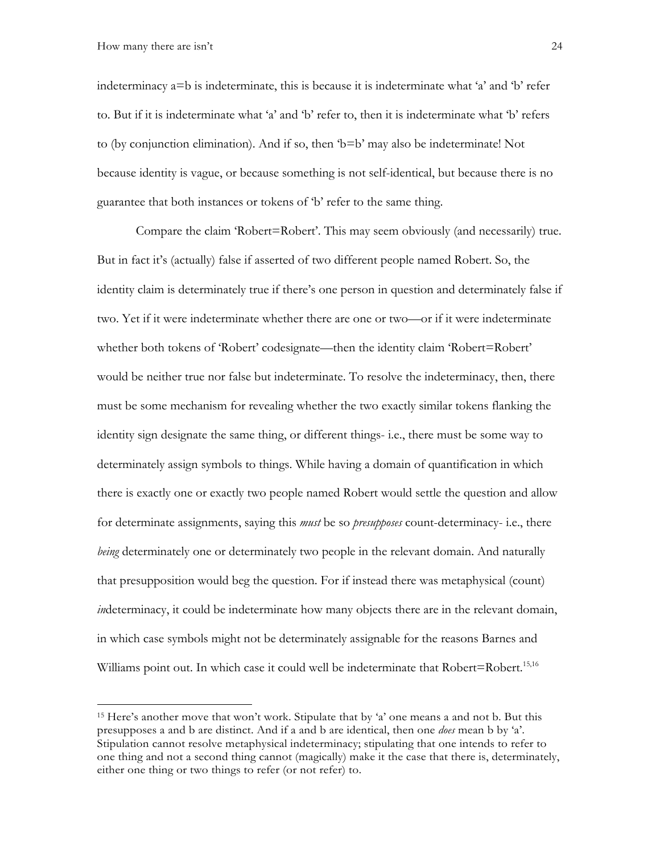indeterminacy a=b is indeterminate, this is because it is indeterminate what 'a' and 'b' refer to. But if it is indeterminate what 'a' and 'b' refer to, then it is indeterminate what 'b' refers to (by conjunction elimination). And if so, then 'b=b' may also be indeterminate! Not because identity is vague, or because something is not self-identical, but because there is no guarantee that both instances or tokens of 'b' refer to the same thing.

Compare the claim 'Robert=Robert'. This may seem obviously (and necessarily) true. But in fact it's (actually) false if asserted of two different people named Robert. So, the identity claim is determinately true if there's one person in question and determinately false if two. Yet if it were indeterminate whether there are one or two—or if it were indeterminate whether both tokens of 'Robert' codesignate—then the identity claim 'Robert=Robert' would be neither true nor false but indeterminate. To resolve the indeterminacy, then, there must be some mechanism for revealing whether the two exactly similar tokens flanking the identity sign designate the same thing, or different things- i.e., there must be some way to determinately assign symbols to things. While having a domain of quantification in which there is exactly one or exactly two people named Robert would settle the question and allow for determinate assignments, saying this *must* be so *presupposes* count-determinacy- i.e., there *being* determinately one or determinately two people in the relevant domain. And naturally that presupposition would beg the question. For if instead there was metaphysical (count) *in*determinacy, it could be indeterminate how many objects there are in the relevant domain, in which case symbols might not be determinately assignable for the reasons Barnes and Williams point out. In which case it could well be indeterminate that Robert=Robert.<sup>15,16</sup>

<sup>15</sup> Here's another move that won't work. Stipulate that by 'a' one means a and not b. But this presupposes a and b are distinct. And if a and b are identical, then one *does* mean b by 'a'. Stipulation cannot resolve metaphysical indeterminacy; stipulating that one intends to refer to one thing and not a second thing cannot (magically) make it the case that there is, determinately, either one thing or two things to refer (or not refer) to.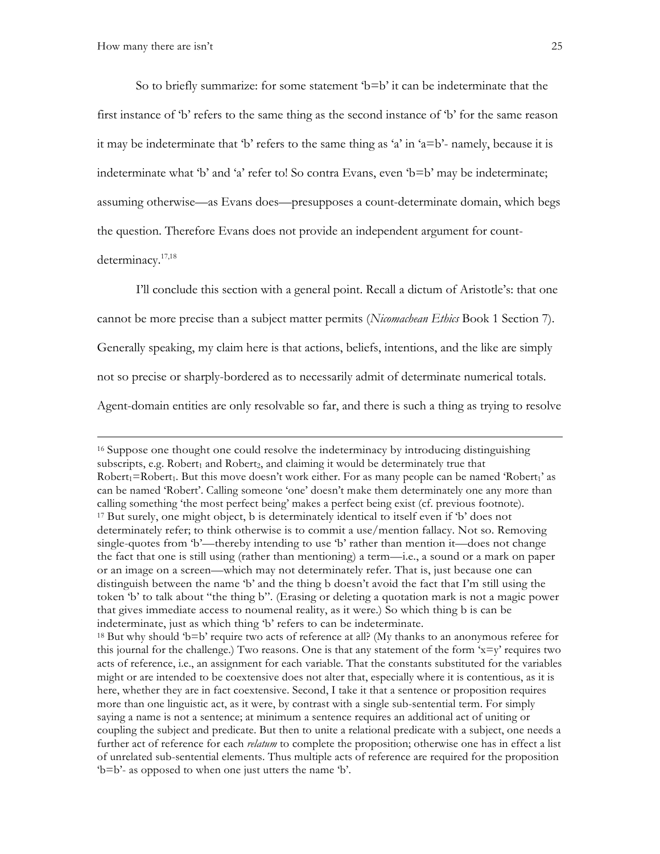So to briefly summarize: for some statement 'b=b' it can be indeterminate that the first instance of 'b' refers to the same thing as the second instance of 'b' for the same reason it may be indeterminate that 'b' refers to the same thing as 'a' in 'a=b'- namely, because it is indeterminate what 'b' and 'a' refer to! So contra Evans, even 'b=b' may be indeterminate; assuming otherwise—as Evans does—presupposes a count-determinate domain, which begs the question. Therefore Evans does not provide an independent argument for countdeterminacy.17,18

I'll conclude this section with a general point. Recall a dictum of Aristotle's: that one cannot be more precise than a subject matter permits (*Nicomachean Ethics* Book 1 Section 7). Generally speaking, my claim here is that actions, beliefs, intentions, and the like are simply not so precise or sharply-bordered as to necessarily admit of determinate numerical totals. Agent-domain entities are only resolvable so far, and there is such a thing as trying to resolve

<sup>&</sup>lt;sup>16</sup> Suppose one thought one could resolve the indeterminacy by introducing distinguishing subscripts, e.g. Robert<sub>1</sub> and Robert<sub>2</sub>, and claiming it would be determinately true that Robert<sub>1</sub>=Robert<sub>1</sub>. But this move doesn't work either. For as many people can be named 'Robert<sub>1</sub>' as can be named 'Robert'. Calling someone 'one' doesn't make them determinately one any more than calling something 'the most perfect being' makes a perfect being exist (cf. previous footnote). 17 But surely, one might object, b is determinately identical to itself even if 'b' does not determinately refer; to think otherwise is to commit a use/mention fallacy. Not so. Removing single-quotes from 'b'—thereby intending to use 'b' rather than mention it—does not change the fact that one is still using (rather than mentioning) a term—i.e., a sound or a mark on paper or an image on a screen—which may not determinately refer. That is, just because one can distinguish between the name 'b' and the thing b doesn't avoid the fact that I'm still using the token 'b' to talk about "the thing b". (Erasing or deleting a quotation mark is not a magic power that gives immediate access to noumenal reality, as it were.) So which thing b is can be indeterminate, just as which thing 'b' refers to can be indeterminate. <sup>18</sup> But why should 'b=b' require two acts of reference at all? (My thanks to an anonymous referee for this journal for the challenge.) Two reasons. One is that any statement of the form 'x=y' requires two acts of reference, i.e., an assignment for each variable. That the constants substituted for the variables might or are intended to be coextensive does not alter that, especially where it is contentious, as it is here, whether they are in fact coextensive. Second, I take it that a sentence or proposition requires more than one linguistic act, as it were, by contrast with a single sub-sentential term. For simply saying a name is not a sentence; at minimum a sentence requires an additional act of uniting or coupling the subject and predicate. But then to unite a relational predicate with a subject, one needs a further act of reference for each *relatum* to complete the proposition; otherwise one has in effect a list of unrelated sub-sentential elements. Thus multiple acts of reference are required for the proposition 'b=b'- as opposed to when one just utters the name 'b'.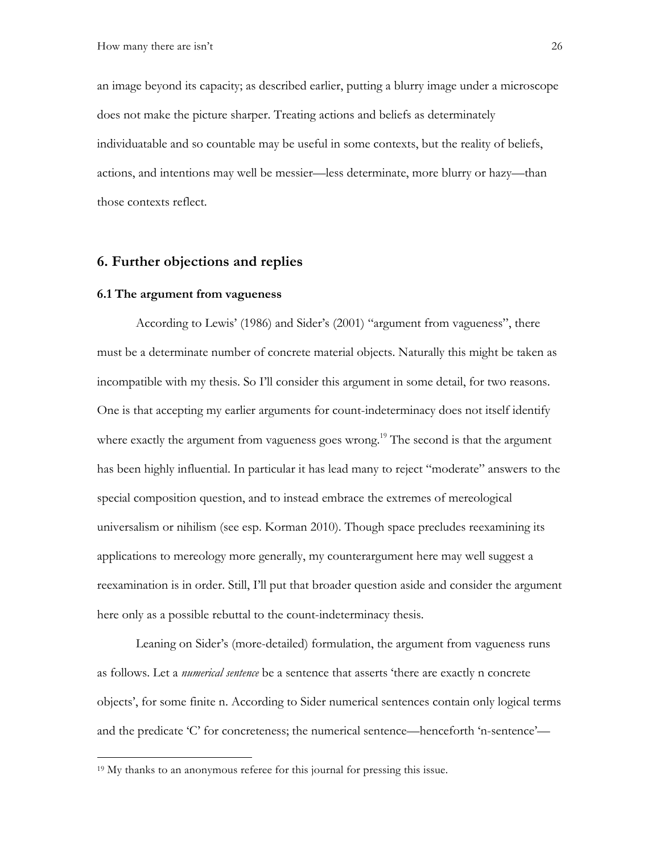an image beyond its capacity; as described earlier, putting a blurry image under a microscope does not make the picture sharper. Treating actions and beliefs as determinately individuatable and so countable may be useful in some contexts, but the reality of beliefs, actions, and intentions may well be messier—less determinate, more blurry or hazy—than those contexts reflect.

## **6. Further objections and replies**

#### **6.1 The argument from vagueness**

According to Lewis' (1986) and Sider's (2001) "argument from vagueness", there must be a determinate number of concrete material objects. Naturally this might be taken as incompatible with my thesis. So I'll consider this argument in some detail, for two reasons. One is that accepting my earlier arguments for count-indeterminacy does not itself identify where exactly the argument from vagueness goes wrong.<sup>19</sup> The second is that the argument has been highly influential. In particular it has lead many to reject "moderate" answers to the special composition question, and to instead embrace the extremes of mereological universalism or nihilism (see esp. Korman 2010). Though space precludes reexamining its applications to mereology more generally, my counterargument here may well suggest a reexamination is in order. Still, I'll put that broader question aside and consider the argument here only as a possible rebuttal to the count-indeterminacy thesis.

Leaning on Sider's (more-detailed) formulation, the argument from vagueness runs as follows. Let a *numerical sentence* be a sentence that asserts 'there are exactly n concrete objects', for some finite n. According to Sider numerical sentences contain only logical terms and the predicate 'C' for concreteness; the numerical sentence—henceforth 'n-sentence'—

 $\overline{a}$ 

<sup>19</sup> My thanks to an anonymous referee for this journal for pressing this issue.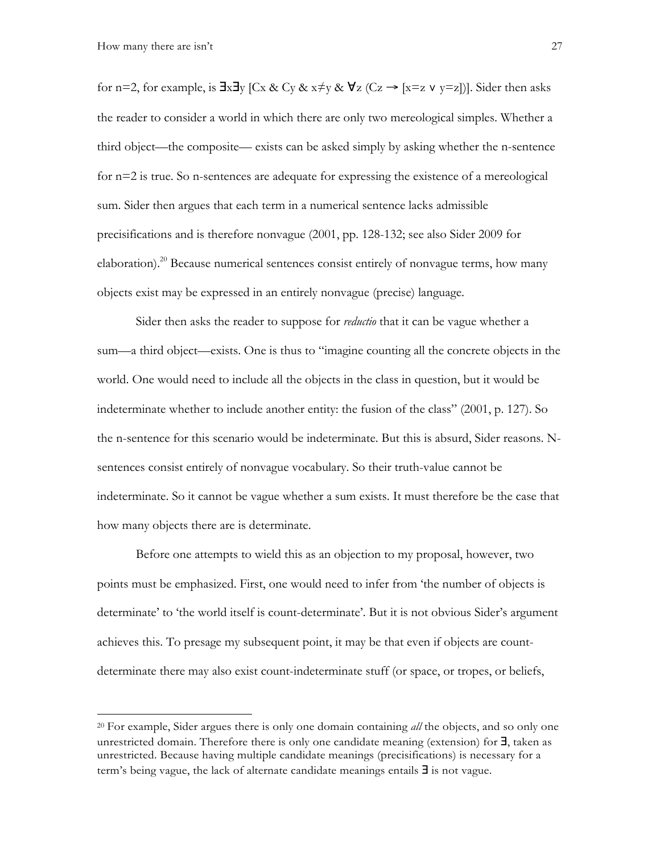for n=2, for example, is  $\exists x \exists y$  [Cx & Cy & x≠y &  $\forall z$  (Cz  $\rightarrow$  [x=z v y=z])]. Sider then asks the reader to consider a world in which there are only two mereological simples. Whether a third object—the composite— exists can be asked simply by asking whether the n-sentence for n=2 is true. So n-sentences are adequate for expressing the existence of a mereological sum. Sider then argues that each term in a numerical sentence lacks admissible precisifications and is therefore nonvague (2001, pp. 128-132; see also Sider 2009 for elaboration).<sup>20</sup> Because numerical sentences consist entirely of nonvague terms, how many objects exist may be expressed in an entirely nonvague (precise) language.

Sider then asks the reader to suppose for *reductio* that it can be vague whether a sum—a third object—exists. One is thus to "imagine counting all the concrete objects in the world. One would need to include all the objects in the class in question, but it would be indeterminate whether to include another entity: the fusion of the class" (2001, p. 127). So the n-sentence for this scenario would be indeterminate. But this is absurd, Sider reasons. Nsentences consist entirely of nonvague vocabulary. So their truth-value cannot be indeterminate. So it cannot be vague whether a sum exists. It must therefore be the case that how many objects there are is determinate.

Before one attempts to wield this as an objection to my proposal, however, two points must be emphasized. First, one would need to infer from 'the number of objects is determinate' to 'the world itself is count-determinate'. But it is not obvious Sider's argument achieves this. To presage my subsequent point, it may be that even if objects are countdeterminate there may also exist count-indeterminate stuff (or space, or tropes, or beliefs,

<sup>20</sup> For example, Sider argues there is only one domain containing *all* the objects, and so only one unrestricted domain. Therefore there is only one candidate meaning (extension) for ∃, taken as unrestricted. Because having multiple candidate meanings (precisifications) is necessary for a term's being vague, the lack of alternate candidate meanings entails ∃ is not vague.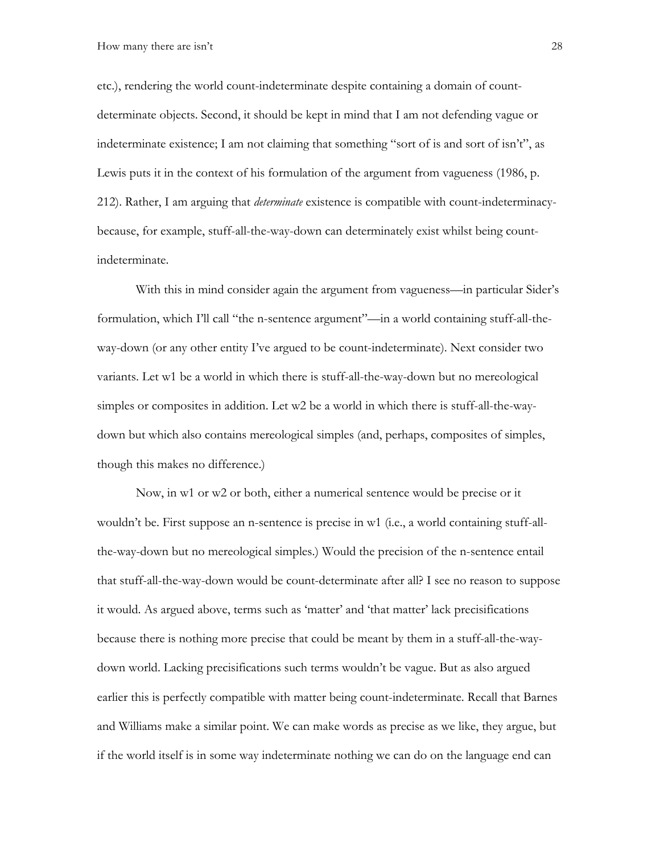etc.), rendering the world count-indeterminate despite containing a domain of countdeterminate objects. Second, it should be kept in mind that I am not defending vague or indeterminate existence; I am not claiming that something "sort of is and sort of isn't", as Lewis puts it in the context of his formulation of the argument from vagueness (1986, p. 212). Rather, I am arguing that *determinate* existence is compatible with count-indeterminacybecause, for example, stuff-all-the-way-down can determinately exist whilst being countindeterminate.

With this in mind consider again the argument from vagueness—in particular Sider's formulation, which I'll call "the n-sentence argument"—in a world containing stuff-all-theway-down (or any other entity I've argued to be count-indeterminate). Next consider two variants. Let w1 be a world in which there is stuff-all-the-way-down but no mereological simples or composites in addition. Let w2 be a world in which there is stuff-all-the-waydown but which also contains mereological simples (and, perhaps, composites of simples, though this makes no difference.)

Now, in w1 or w2 or both, either a numerical sentence would be precise or it wouldn't be. First suppose an n-sentence is precise in w1 (i.e., a world containing stuff-allthe-way-down but no mereological simples.) Would the precision of the n-sentence entail that stuff-all-the-way-down would be count-determinate after all? I see no reason to suppose it would. As argued above, terms such as 'matter' and 'that matter' lack precisifications because there is nothing more precise that could be meant by them in a stuff-all-the-waydown world. Lacking precisifications such terms wouldn't be vague. But as also argued earlier this is perfectly compatible with matter being count-indeterminate. Recall that Barnes and Williams make a similar point. We can make words as precise as we like, they argue, but if the world itself is in some way indeterminate nothing we can do on the language end can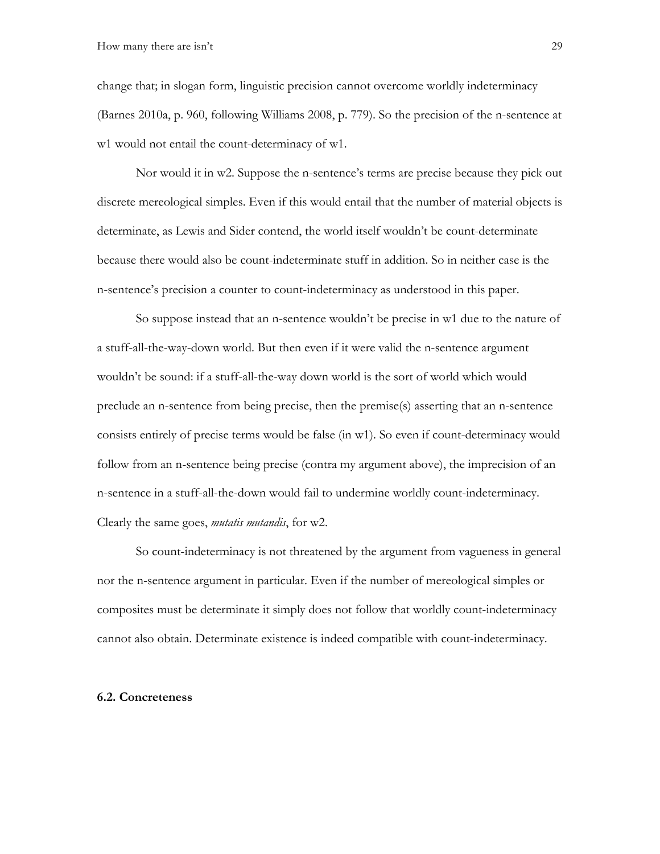change that; in slogan form, linguistic precision cannot overcome worldly indeterminacy (Barnes 2010a, p. 960, following Williams 2008, p. 779). So the precision of the n-sentence at w1 would not entail the count-determinacy of w1.

Nor would it in w2. Suppose the n-sentence's terms are precise because they pick out discrete mereological simples. Even if this would entail that the number of material objects is determinate, as Lewis and Sider contend, the world itself wouldn't be count-determinate because there would also be count-indeterminate stuff in addition. So in neither case is the n-sentence's precision a counter to count-indeterminacy as understood in this paper.

So suppose instead that an n-sentence wouldn't be precise in w1 due to the nature of a stuff-all-the-way-down world. But then even if it were valid the n-sentence argument wouldn't be sound: if a stuff-all-the-way down world is the sort of world which would preclude an n-sentence from being precise, then the premise(s) asserting that an n-sentence consists entirely of precise terms would be false (in w1). So even if count-determinacy would follow from an n-sentence being precise (contra my argument above), the imprecision of an n-sentence in a stuff-all-the-down would fail to undermine worldly count-indeterminacy. Clearly the same goes, *mutatis mutandis*, for w2.

So count-indeterminacy is not threatened by the argument from vagueness in general nor the n-sentence argument in particular. Even if the number of mereological simples or composites must be determinate it simply does not follow that worldly count-indeterminacy cannot also obtain. Determinate existence is indeed compatible with count-indeterminacy.

#### **6.2. Concreteness**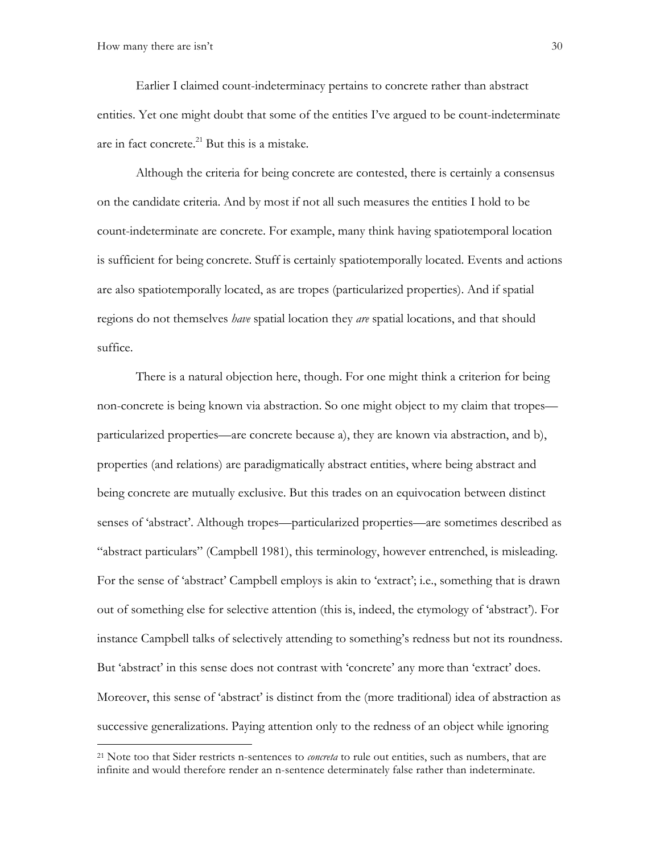Earlier I claimed count-indeterminacy pertains to concrete rather than abstract entities. Yet one might doubt that some of the entities I've argued to be count-indeterminate are in fact concrete.<sup>21</sup> But this is a mistake.

Although the criteria for being concrete are contested, there is certainly a consensus on the candidate criteria. And by most if not all such measures the entities I hold to be count-indeterminate are concrete. For example, many think having spatiotemporal location is sufficient for being concrete. Stuff is certainly spatiotemporally located. Events and actions are also spatiotemporally located, as are tropes (particularized properties). And if spatial regions do not themselves *have* spatial location they *are* spatial locations, and that should suffice.

There is a natural objection here, though. For one might think a criterion for being non-concrete is being known via abstraction. So one might object to my claim that tropes particularized properties—are concrete because a), they are known via abstraction, and b), properties (and relations) are paradigmatically abstract entities, where being abstract and being concrete are mutually exclusive. But this trades on an equivocation between distinct senses of 'abstract'. Although tropes—particularized properties—are sometimes described as "abstract particulars" (Campbell 1981), this terminology, however entrenched, is misleading. For the sense of 'abstract' Campbell employs is akin to 'extract'; i.e., something that is drawn out of something else for selective attention (this is, indeed, the etymology of 'abstract'). For instance Campbell talks of selectively attending to something's redness but not its roundness. But 'abstract' in this sense does not contrast with 'concrete' any more than 'extract' does. Moreover, this sense of 'abstract' is distinct from the (more traditional) idea of abstraction as successive generalizations. Paying attention only to the redness of an object while ignoring

<sup>21</sup> Note too that Sider restricts n-sentences to *concreta* to rule out entities, such as numbers, that are infinite and would therefore render an n-sentence determinately false rather than indeterminate.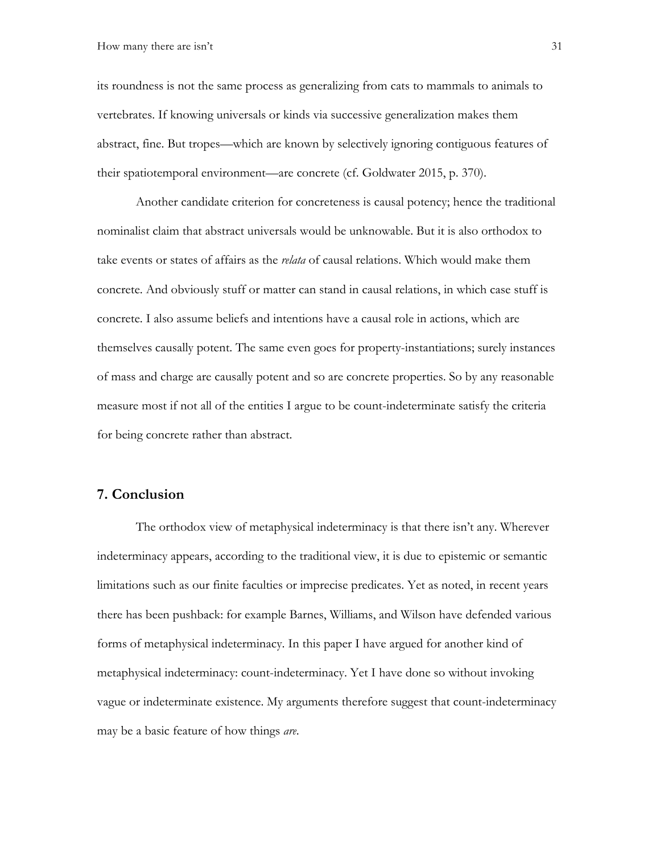its roundness is not the same process as generalizing from cats to mammals to animals to vertebrates. If knowing universals or kinds via successive generalization makes them abstract, fine. But tropes—which are known by selectively ignoring contiguous features of their spatiotemporal environment—are concrete (cf. Goldwater 2015, p. 370).

Another candidate criterion for concreteness is causal potency; hence the traditional nominalist claim that abstract universals would be unknowable. But it is also orthodox to take events or states of affairs as the *relata* of causal relations. Which would make them concrete. And obviously stuff or matter can stand in causal relations, in which case stuff is concrete. I also assume beliefs and intentions have a causal role in actions, which are themselves causally potent. The same even goes for property-instantiations; surely instances of mass and charge are causally potent and so are concrete properties. So by any reasonable measure most if not all of the entities I argue to be count-indeterminate satisfy the criteria for being concrete rather than abstract.

# **7. Conclusion**

The orthodox view of metaphysical indeterminacy is that there isn't any. Wherever indeterminacy appears, according to the traditional view, it is due to epistemic or semantic limitations such as our finite faculties or imprecise predicates. Yet as noted, in recent years there has been pushback: for example Barnes, Williams, and Wilson have defended various forms of metaphysical indeterminacy. In this paper I have argued for another kind of metaphysical indeterminacy: count-indeterminacy. Yet I have done so without invoking vague or indeterminate existence. My arguments therefore suggest that count-indeterminacy may be a basic feature of how things *are*.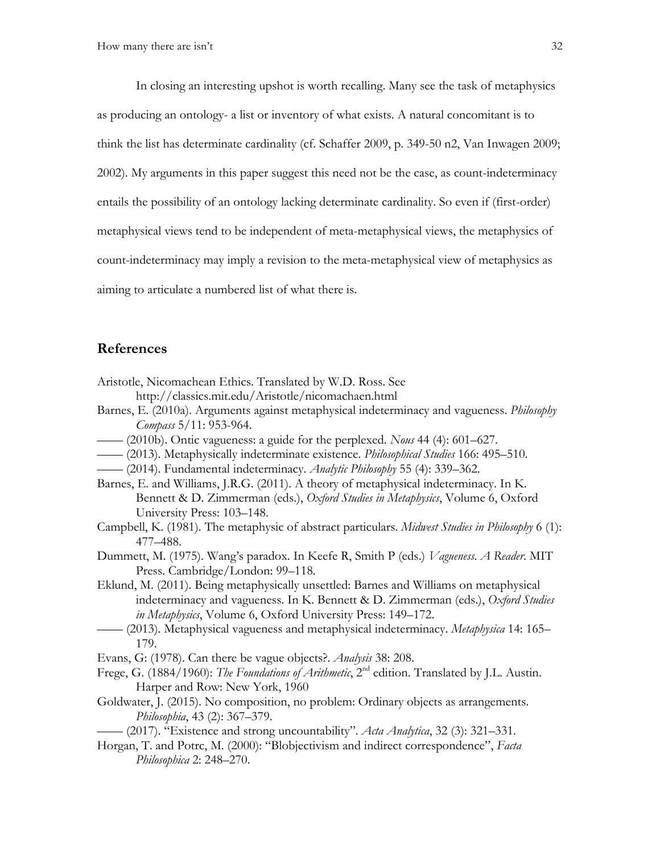In closing an interesting upshot is worth recalling. Many see the task of metaphysics as producing an ontology- a list or inventory of what exists. A natural concomitant is to think the list has determinate cardinality (cf. Schaffer 2009, p. 349-50 n2, Van Inwagen 2009; 2002). My arguments in this paper suggest this need not be the case, as count-indeterminacy entails the possibility of an ontology lacking determinate cardinality. So even if (first-order) metaphysical views tend to be independent of meta-metaphysical views, the metaphysics of count-indeterminacy may imply a revision to the meta-metaphysical view of metaphysics as aiming to articulate a numbered list of what there is.

## **References**

- Aristotle, Nicomachean Ethics. Translated by W.D. Ross. See
	- http://classics.mit.edu/Aristotle/nicomachaen.html
- Barnes, E. (2010a). Arguments against metaphysical indeterminacy and vagueness. *Philosophy Compass* 5/11: 953-964.
- —— (2010b). Ontic vagueness: a guide for the perplexed. *Nous* 44 (4): 601–627.
- —— (2013). Metaphysically indeterminate existence. *Philosophical Studies* 166: 495–510.
- —— (2014). Fundamental indeterminacy. *Analytic Philosophy* 55 (4): 339–362.
- Barnes, E. and Williams, J.R.G. (2011). A theory of metaphysical indeterminacy. In K. Bennett & D. Zimmerman (eds.), *Oxford Studies in Metaphysics*, Volume 6, Oxford University Press: 103–148.
- Campbell, K. (1981). The metaphysic of abstract particulars. *Midwest Studies in Philosophy* 6 (1): 477–488.
- Dummett, M. (1975). Wang's paradox. In Keefe R, Smith P (eds.) *Vagueness. A Reader*. MIT Press. Cambridge/London: 99–118.
- Eklund, M. (2011). Being metaphysically unsettled: Barnes and Williams on metaphysical indeterminacy and vagueness. In K. Bennett & D. Zimmerman (eds.), *Oxford Studies in Metaphysics*, Volume 6, Oxford University Press: 149–172.
- —— (2013). Metaphysical vagueness and metaphysical indeterminacy. *Metaphysica* 14: 165– 179.
- Evans, G: (1978). Can there be vague objects?. *Analysis* 38: 208.
- Frege, G. (1884/1960): *The Foundations of Arithmetic*, 2<sup>nd</sup> edition. Translated by J.L. Austin. Harper and Row: New York, 1960
- Goldwater, J. (2015). No composition, no problem: Ordinary objects as arrangements. *Philosophia*, 43 (2): 367–379.
- —— (2017). "Existence and strong uncountability". *Acta Analytica*, 32 (3): 321–331.
- Horgan, T. and Potrc, M. (2000): "Blobjectivism and indirect correspondence", *Facta Philosophica* 2: 248–270.